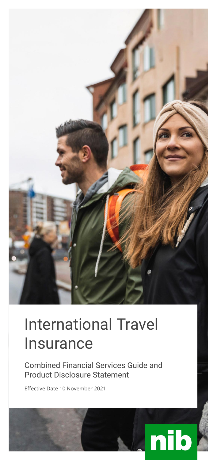

# International Travel Insurance

Combined Financial Services Guide and Product Disclosure Statement

Effective Date 10 November 2021

# nib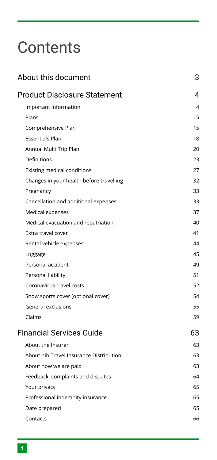# **Contents**

| About this document                      | 3  |
|------------------------------------------|----|
| <b>Product Disclosure Statement</b>      | 4  |
| Important information                    | 4  |
| Plans                                    | 15 |
| Comprehensive Plan                       | 15 |
| <b>Essentials Plan</b>                   | 18 |
| Annual Multi Trip Plan                   | 20 |
| Definitions                              | 23 |
| <b>Existing medical conditions</b>       | 27 |
| Changes in your health before travelling | 32 |
| Pregnancy                                | 33 |
| Cancellation and additional expenses     | 33 |
| Medical expenses                         | 37 |
| Medical evacuation and repatriation      | 40 |
| Extra travel cover                       | 41 |
| Rental vehicle expenses                  | 44 |
| Luggage                                  | 45 |
| Personal accident                        | 49 |
| Personal liability                       | 51 |
| Coronavirus travel costs                 | 52 |
| Snow sports cover (optional cover)       | 54 |
| General exclusions                       | 55 |
| Claims                                   | 59 |
| <b>Financial Services Guide</b>          | 63 |
| About the Insurer                        | 63 |
| About nib Travel Insurance Distribution  | 63 |
| About how we are paid                    | 63 |
| Feedback, complaints and disputes        | 64 |
| Your privacy                             | 65 |
| Professional indemnity insurance         | 65 |
| Date prepared                            | 65 |
| Contacts                                 | 66 |
|                                          |    |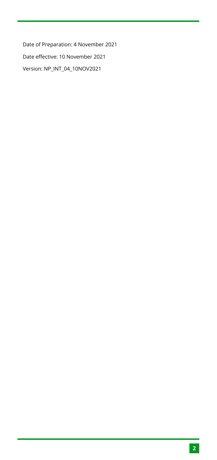Date of Preparation: 4 November 2021 Date effective: 10 November 2021 Version: NP\_INT\_04\_10NOV2021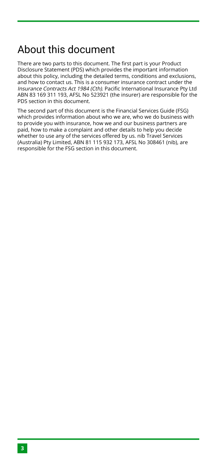# <span id="page-3-0"></span>About this document

There are two parts to this document. The first part is your Product Disclosure Statement (PDS) which provides the important information about this policy, including the detailed terms, conditions and exclusions, and how to contact us. This is a consumer insurance contract under the Insurance Contracts Act 1984 (Cth). Pacific International Insurance Pty Ltd ABN 83 169 311 193, AFSL No 523921 (the insurer) are responsible for the PDS section in this document.

The second part of this document is the Financial Services Guide (FSG) which provides information about who we are, who we do business with to provide you with insurance, how we and our business partners are paid, how to make a complaint and other details to help you decide whether to use any of the services offered by us. nib Travel Services (Australia) Pty Limited, ABN 81 115 932 173, AFSL No 308461 (nib), are responsible for the FSG section in this document.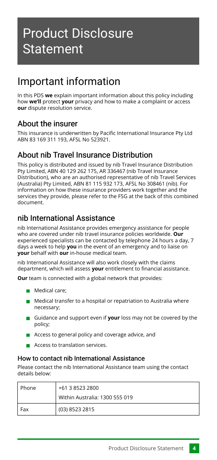# <span id="page-4-1"></span><span id="page-4-0"></span>Important information

In this PDS **we** explain important information about this policy including how **we'll** protect **your** privacy and how to make a complaint or access **our** dispute resolution service.

# About the insurer

This insurance is underwritten by Pacific International Insurance Pty Ltd ABN 83 169 311 193, AFSL No 523921.

# About nib Travel Insurance Distribution

This policy is distributed and issued by nib Travel Insurance Distribution Pty Limited, ABN 40 129 262 175, AR 336467 (nib Travel Insurance Distribution), who are an authorised representative of nib Travel Services (Australia) Pty Limited, ABN 81 115 932 173, AFSL No 308461 (nib). For information on how these insurance providers work together and the services they provide, please refer to the FSG at the back of this combined document.

# nib International Assistance

nib International Assistance provides emergency assistance for people who are covered under nib travel insurance policies worldwide. **Our** experienced specialists can be contacted by telephone 24 hours a day, 7 days a week to help **you** in the event of an emergency and to liaise on **your** behalf with **our** in-house medical team.

nib International Assistance will also work closely with the claims department, which will assess **your** entitlement to financial assistance.

**Our** team is connected with a global network that provides:

- **Medical care:**
- $\blacksquare$  Medical transfer to a hospital or repatriation to Australia where necessary;
- Guidance and support even if **your** loss may not be covered by the policy;
- Access to general policy and coverage advice, and
- **Access to translation services.**

#### How to contact nib International Assistance

Please contact the nib International Assistance team using the contact details below:

| i Phone | +61 3 8523 2800                |
|---------|--------------------------------|
|         | Within Australia: 1300 555 019 |
| Fax     | (03) 8523 2815                 |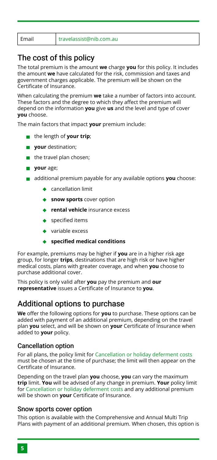# The cost of this policy

The total premium is the amount **we** charge **you** for this policy. It includes the amount **we** have calculated for the risk, commission and taxes and government charges applicable. The premium will be shown on the Certificate of Insurance.

When calculating the premium **we** take a number of factors into account. These factors and the degree to which they affect the premium will depend on the information **you** give **us** and the level and type of cover **you** choose.

The main factors that impact **your** premium include:

- the length of **your trip**;
- **your** destination;
- $\blacksquare$  the travel plan chosen;
- **your** age;
- additional premium payable for any available options **you** choose:
	- ◆ cancellation limit
	- **snow sports** cover option
	- **rental vehicle** insurance excess
	- ◆ specified items
	- ◆ variable excess
	- **specified medical conditions**

For example, premiums may be higher if **you** are in a higher risk age group, for longer **trips**, destinations that are high risk or have higher medical costs, plans with greater coverage, and when **you** choose to purchase additional cover.

This policy is only valid after **you** pay the premium and **our representative** issues a Certificate of Insurance to **you**.

### <span id="page-5-1"></span>Additional options to purchase

**We** offer the following options for **you** to purchase. These options can be added with payment of an additional premium, depending on the travel plan **you** select, and will be shown on **your** Certificate of Insurance when added to **your** policy.

#### <span id="page-5-2"></span>Cancellation option

For all plans, the policy limit for [Cancellation or holiday deferment costs](#page-35-0) must be chosen at the time of purchase; the limit will then appear on the Certificate of Insurance.

Depending on the travel plan **you** choose, **you** can vary the maximum **trip** limit. **You** will be advised of any change in premium. **Your** policy limit for [Cancellation or holiday deferment costs](#page-35-0) and any additional premium will be shown on **your** Certificate of Insurance.

#### <span id="page-5-0"></span>Snow sports cover option

This option is available with the Comprehensive and Annual Multi Trip Plans with payment of an additional premium. When chosen, this option is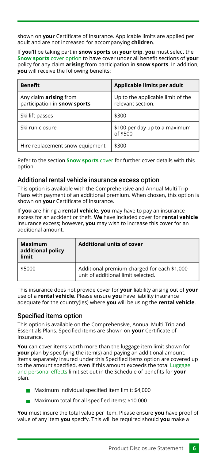shown on **your** Certificate of Insurance. Applicable limits are applied per adult and are not increased for accompanying **children**.

If **you'll** be taking part in **snow sports** on **your trip**, **you** must select the **[Snow sports](#page-5-0)** cover option to have cover under all benefit sections of **your** policy for any claim **arising** from participation in **snow sports**. In addition, **you** will receive the following benefits:

| <b>Benefit</b>                                         | Applicable limits per adult                            |
|--------------------------------------------------------|--------------------------------------------------------|
| Any claim arising from<br>participation in snow sports | Up to the applicable limit of the<br>relevant section. |
| Ski lift passes                                        | \$300                                                  |
| Ski run closure                                        | \$100 per day up to a maximum<br>of \$500              |
| Hire replacement snow equipment                        | \$300                                                  |

Refer to the section **[Snow sports](#page-54-0)** cover for further cover details with this option.

#### <span id="page-6-0"></span>Additional rental vehicle insurance excess option

This option is available with the Comprehensive and Annual Multi Trip Plans with payment of an additional premium. When chosen, this option is shown on **your** Certificate of Insurance.

If **you** are hiring a **rental vehicle**, **you** may have to pay an insurance excess for an accident or theft. **We** have included cover for **rental vehicle** insurance excess; however, **you** may wish to increase this cover for an additional amount.

| Maximum<br>additional policy<br>limit | <b>Additional units of cover</b>                                                  |
|---------------------------------------|-----------------------------------------------------------------------------------|
| \$5000                                | Additional premium charged for each \$1,000<br>unit of additional limit selected. |

This insurance does not provide cover for **your** liability arising out of **your** use of a **rental vehicle**. Please ensure **you** have liability insurance adequate for the country(ies) where **you** will be using the **rental vehicle**.

#### <span id="page-6-1"></span>Specified items option

This option is available on the Comprehensive, Annual Multi Trip and Essentials Plans. Specified items are shown on **your** Certificate of Insurance.

**You** can cover items worth more than the luggage item limit shown for **your** plan by specifying the item(s) and paying an additional amount. Items separately insured under this Specified items option are covered up to the amount specified, even if this amount exceeds the total [Luggage](#page-45-1) [and personal effects](#page-45-1) limit set out in the Schedule of benefits for **your** plan.

- Maximum individual specified item limit: \$4,000
- Maximum total for all specified items: \$10,000

**You** must insure the total value per item. Please ensure **you** have proof of value of any item **you** specify. This will be required should **you** make a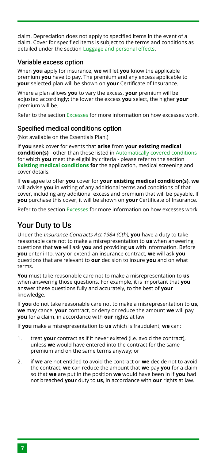claim. Depreciation does not apply to specified items in the event of a claim. Cover for specified items is subject to the terms and conditions as detailed under the section [Luggage and personal effects](#page-45-1).

#### <span id="page-7-1"></span>Variable excess option

When **you** apply for insurance, **we** will let **you** know the applicable premium **you** have to pay. The premium and any excess applicable to **your** selected plan will be shown on **your** Certificate of Insurance.

Where a plan allows **you** to vary the excess, **your** premium will be adjusted accordingly; the lower the excess **you** select, the higher **your** premium will be.

Refer to the section [Excesses](#page-12-0) for more information on how excesses work.

#### <span id="page-7-2"></span>Specified medical conditions option

(Not available on the Essentials Plan.)

If **you** seek cover for events that **arise** from **your existing medical condition(s)** - other than those listed in [Automatically covered conditions](#page-28-0) for which **you** meet the eligibility criteria - please refer to the section **[Existing medical conditions](#page-27-0) for** the application, medical screening and cover details.

If **we** agree to offer **you** cover for **your existing medical condition(s)**, **we** will advise **you** in writing of any additional terms and conditions of that cover, including any additional excess and premium that will be payable. If **you** purchase this cover, it will be shown on **your** Certificate of Insurance.

Refer to the section [Excesses](#page-12-0) for more information on how excesses work.

# <span id="page-7-0"></span>Your Duty to Us

Under the Insurance Contracts Act 1984 (Cth), **you** have a duty to take reasonable care not to make a misrepresentation to **us** when answering questions that **we** will ask **you** and providing **us** with information. Before **you** enter into, vary or extend an insurance contract, **we** will ask **you** questions that are relevant to **our** decision to insure **you** and on what terms

**You** must take reasonable care not to make a misrepresentation to **us** when answering those questions. For example, it is important that **you** answer these questions fully and accurately, to the best of **your** knowledge.

If **you** do not take reasonable care not to make a misrepresentation to **us**, **we** may cancel **your** contract, or deny or reduce the amount **we** will pay **you** for a claim, in accordance with **our** rights at law.

If **you** make a misrepresentation to **us** which is fraudulent, **we** can:

- treat **your** contract as if it never existed (i.e. avoid the contract), unless **we** would have entered into the contract for the same premium and on the same terms anyway; or 1.
- if **we** are not entitled to avoid the contract or **we** decide not to avoid the contract, **we** can reduce the amount that **we** pay **you** for a claim so that **we** are put in the position **we** would have been in if **you** had not breached **your** duty to **us**, in accordance with **our** rights at law.  $\mathcal{L}$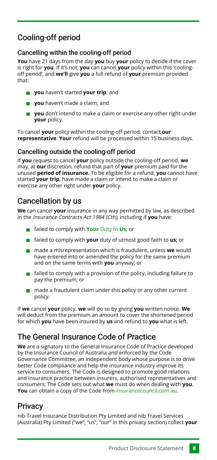# Cooling-off period

#### Cancelling within the cooling-off period

**You** have 21 days from the day **you** buy **your** policy to decide if the cover is right for **you**. If it's not, **you** can cancel **your** policy within this 'coolingoff period', and **we'll** give **you** a full refund of **your** premium provided that:

- **you** haven't started **your trip**; and
- **you** haven't made a claim; and
- **you** don't intend to make a claim or exercise any other right under **your** policy.

To cancel **your** policy within the cooling-off period, contact **our representative**. **Your** refund will be processed within 15 business days.

#### Cancelling outside the cooling-off period

If **you** request to cancel **your** policy outside the cooling-off period, **we** may, at **our** discretion, refund that part of **your** premium paid for the unused **period of insurance**. To be eligible for a refund, **you** cannot have started **your trip**, have made a claim or intend to make a claim or exercise any other right under **your** policy.

# Cancellation by us

**We** can cancel **your** insurance in any way permitted by law, as described in the Insurance Contracts Act 1984 (Cth), including if **you** have:

- failed to comply with **Your** [Duty to](#page-7-0) **Us**; or
- failed to comply with **your** duty of utmost good faith to **us**; or
- made a misrepresentation which is fraudulent, unless **we** would have entered into or amended the policy for the same premium and on the same terms with **you** anyway; or
- $\blacksquare$  failed to comply with a provision of the policy, including failure to pay the premium; or
- $m$  made a fraudulent claim under this policy or any other current policy.

If **we** cancel **your** policy, **we** will do so by giving **you** written notice. **We** will deduct from the premium an amount to cover the shortened period for which **you** have been insured by **us** and refund to **you** what is left.

# The General Insurance Code of Practice

**We** are a signatory to the General Insurance Code of Practice developed by the Insurance Council of Australia and enforced by the Code Governance Committee, an independent body whose purpose is to drive better Code compliance and help the insurance industry improve its service to consumers. The Code is designed to promote good relations and insurance practice between insurers, authorised representatives and consumers. The Code sets out what **we** must do when dealing with **you**. **You** can obtain a copy of the Code from [insurancecouncil.com.au.](http://www.codeofpractice.com.au/)

# **Privacy**

nib Travel Insurance Distribution Pty Limited and nib Travel Services (Australia) Pty Limited ("we", "us", "our" in this privacy section) collect **your**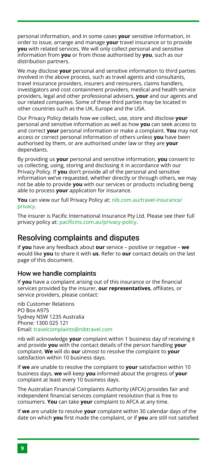personal information, and in some cases **your** sensitive information, in order to issue, arrange and manage **your** travel insurance or to provide **you** with related services. We will only collect personal and sensitive information from **you** or from those authorised by **you**, such as our distribution partners.

We may disclose **your** personal and sensitive information to third parties involved in the above process, such as travel agents and consultants, travel insurance providers, insurers and reinsurers, claims handlers, investigators and cost containment providers, medical and health service providers, legal and other professional advisers, **your** and our agents and our related companies. Some of these third parties may be located in other countries such as the UK, Europe and the USA.

Our Privacy Policy details how we collect, use, store and disclose **your** personal and sensitive information as well as how **you** can seek access to and correct **your** personal information or make a complaint. **You** may not access or correct personal information of others unless **you** have been authorised by them, or are authorised under law or they are **your** dependants.

By providing us **your** personal and sensitive information, **you** consent to us collecting, using, storing and disclosing it in accordance with our Privacy Policy. If **you** don't provide all of the personal and sensitive information we've requested, whether directly or through others, we may not be able to provide **you** with our services or products including being able to process **your** application for insurance.

**You** can view our full Privacy Policy at: [nib.com.au/travel-insurance/](https://www.nib.com.au/travel-insurance/privacy) [privacy](https://www.nib.com.au/travel-insurance/privacy).

The insurer is Pacific International Insurance Pty Ltd. Please see their full privacy policy at: [pacificins.com.au/privacy-policy.](https://www.pacificins.com.au/privacy-policy/)

### Resolving complaints and disputes

If **you** have any feedback about **our** service – positive or negative – **we** would like **you** to share it with **us**. Refer to **our** contact details on the last page of this document.

#### How we handle complaints

If **you** have a complaint arising out of this insurance or the financial services provided by the insurer, **our representatives**, affiliates, or service providers, please contact:

nib Customer Relations PO Box A975 Sydney NSW 1235 Australia Phone: 1300 025 121 Email: [travelcomplaints@nibtravel.com](mailto:travelcomplaints@nibtravel.com)

nib will acknowledge **your** complaint within 1 business day of receiving it and provide **you** with the contact details of the person handling **your** complaint. **We** will do **our** utmost to resolve the complaint to **your** satisfaction within 10 business days.

If **we** are unable to resolve the complaint to **your** satisfaction within 10 business days, **we** will keep **you** informed about the progress of **your** complaint at least every 10 business days.

The Australian Financial Complaints Authority (AFCA) provides fair and independent financial services complaint resolution that is free to consumers. **You** can take **your** complaint to AFCA at any time.

If **we** are unable to resolve **your** complaint within 30 calendar days of the date on which **you** first made the complaint, or if **you** are still not satisfied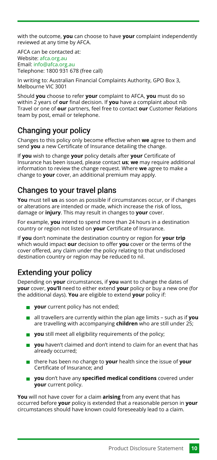with the outcome, **you** can choose to have **your** complaint independently reviewed at any time by AFCA.

AFCA can be contacted at: Website: [afca.org.au](http://afca.org.au/) Email: [info@afca.org.au](mailto:info@afca.org.au) Telephone: 1800 931 678 (free call)

In writing to: Australian Financial Complaints Authority, GPO Box 3, Melbourne VIC 3001

Should **you** choose to refer **your** complaint to AFCA, **you** must do so within 2 years of **our** final decision. If **you** have a complaint about nib Travel or one of **our** partners, feel free to contact **our** Customer Relations team by post, email or telephone.

# Changing your policy

Changes to this policy only become effective when **we** agree to them and send **you** a new Certificate of Insurance detailing the change.

If **you** wish to change **your** policy details after **your** Certificate of Insurance has been issued, please contact **us**; **we** may require additional information to review the change request. Where **we** agree to make a change to **your** cover, an additional premium may apply.

# Changes to your travel plans

**You** must tell **us** as soon as possible if circumstances occur, or if changes or alterations are intended or made, which increase the risk of loss, damage or **injury**. This may result in changes to **your** cover.

For example, **you** intend to spend more than 24 hours in a destination country or region not listed on **your** Certificate of Insurance.

If **you** don't nominate the destination country or region for **your trip** which would impact **our** decision to offer **you** cover or the terms of the cover offered, any claim under the policy relating to that undisclosed destination country or region may be reduced to nil.

# <span id="page-10-0"></span>Extending your policy

Depending on **your** circumstances, if **you** want to change the dates of **your** cover, **you'll** need to either extend **your** policy or buy a new one (for the additional days). **You** are eligible to extend **your** policy if:

- **your** current policy has not ended;
- all travellers are currently within the plan age limits such as if **you** are travelling with accompanying **children** who are still under 25;
- **you** still meet all eligibility requirements of the policy:
- **vou** haven't claimed and don't intend to claim for an event that has already occurred;
- there has been no change to **your** health since the issue of **your** Certificate of Insurance; and
- **you** don't have any **specified medical conditions** covered under **your** current policy.

**You** will not have cover for a claim **arising** from any event that has occurred before **your** policy is extended that a reasonable person in **your** circumstances should have known could foreseeably lead to a claim.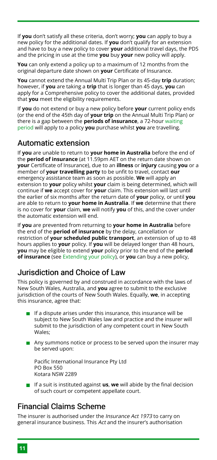If **you** don't satisfy all these criteria, don't worry; **you** can apply to buy a new policy for the additional dates. If **you** don't qualify for an extension and have to buy a new policy to cover **your** additional travel days, the PDS and the pricing in use at the time **you** buy **your** new policy will apply.

**You** can only extend a policy up to a maximum of 12 months from the original departure date shown on **your** Certificate of Insurance.

**You** cannot extend the Annual Multi Trip Plan or its 45-day **trip** duration; however, if **you** are taking a **trip** that is longer than 45 days, **you** can apply for a Comprehensive policy to cover the additional dates, provided that **you** meet the eligibility requirements.

If **you** do not extend or buy a new policy before **your** current policy ends (or the end of the 45th day of **your trip** on the Annual Multi Trip Plan) or there is a gap between the **periods of insurance**, a 72-hour [waiting](#page-14-0) [period](#page-14-0) will apply to a policy **you** purchase whilst **you** are travelling.

# Automatic extension

If **you** are unable to return to **your home in Australia** before the end of the **period of insurance** (at 11.59pm AET on the return date shown on **your** Certificate of Insurance), due to an **illness** or **injury** causing **you** or a member of **your travelling party** to be unfit to travel, contact **our** emergency assistance team as soon as possible. **We** will apply an extension to **your** policy whilst **your** claim is being determined, which will continue if **we** accept cover for **your** claim. This extension will last until the earlier of six months after the return date of **your** policy, or until **you** are able to return to **your home in Australia**. If **we** determine that there is no cover for **your** claim, **we** will notify **you** of this, and the cover under the automatic extension will end.

If **you** are prevented from returning to **your home in Australia** before the end of the **period of insurance** by the delay, cancellation or restriction of **your scheduled public transport**, an extension of up to 48 hours applies to **your** policy. If **you** will be delayed longer than 48 hours, **you** may be eligible to extend **your** policy prior to the end of the **period of insurance** (see [Extending your policy](#page-10-0)), or **you** can buy a new policy,

# Jurisdiction and Choice of Law

This policy is governed by and construed in accordance with the laws of New South Wales, Australia, and **you** agree to submit to the exclusive jurisdiction of the courts of New South Wales. Equally, **we**, in accepting this insurance, agree that:

- $\blacksquare$  If a dispute arises under this insurance, this insurance will be subject to New South Wales law and practice and the insurer will submit to the jurisdiction of any competent court in New South Wales;
- Any summons notice or process to be served upon the insurer may be served upon:

Pacific International Insurance Pty Ltd PO Box 550 Kotara NSW 2289

**If a suit is instituted against <b>us**, we will abide by the final decision of such court or competent appellate court.

# Financial Claims Scheme

The insurer is authorised under the Insurance Act 1973 to carry on general insurance business. This Act and the insurer's authorisation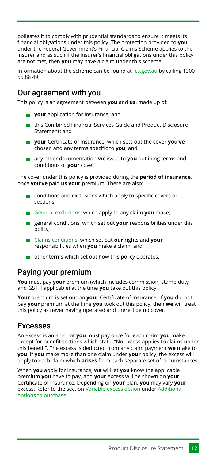obligates it to comply with prudential standards to ensure it meets its financial obligations under this policy. The protection provided to **you** under the Federal Government's Financial Claims Scheme applies to the insurer and as such if the insurer's financial obligations under this policy are not met, then **you** may have a claim under this scheme.

Information about the scheme can be found at [fcs.gov.au](https://www.apra.gov.au/financial-claims-scheme-0) by calling 1300 55 88 49.

# Our agreement with you

This policy is an agreement between **you** and **us**, made up of:

- **your** application for insurance; and
- this Combined Financial Services Guide and Product Disclosure Statement; and
- **your** Certificate of Insurance, which sets out the cover **you've** chosen and any terms specific to **you**; and
- any other documentation **we** issue to **you** outlining terms and conditions of **your** cover.

The cover under this policy is provided during the **period of insurance**, once **you've** paid **us your** premium. There are also:

- $\Box$  conditions and exclusions which apply to specific covers or sections;
- [General exclusions](#page-55-0), which apply to any claim **you** make;
- general conditions, which set out **your** responsibilities under this policy;
- [Claims conditions](#page-59-0), which set out **our** rights and **your** responsibilities when **you** make a claim; and
- other terms which set out how this policy operates.

### Paying your premium

**You** must pay **your** premium (which includes commission, stamp duty and GST if applicable) at the time **you** take out this policy.

**Your** premium is set out on **your** Certificate of Insurance. If **you** did not pay **your** premium at the time **you** took out this policy, then **we** will treat this policy as never having operated and there'll be no cover.

### <span id="page-12-0"></span>Excesses

An excess is an amount **you** must pay once for each claim **you** make, except for benefit sections which state: "No excess applies to claims under this benefit". The excess is deducted from any claim payment **we** make to **you**. If **you** make more than one claim under **your** policy, the excess will apply to each claim which **arises** from each separate set of circumstances.

When **you** apply for insurance, **we** will let **you** know the applicable premium **you** have to pay, and **your** excess will be shown on **your** Certificate of Insurance. Depending on **your** plan, **you** may vary **your** excess. Refer to the section [Variable excess option](#page-7-1) under [Additional](#page-5-1) [options to purchase.](#page-5-1)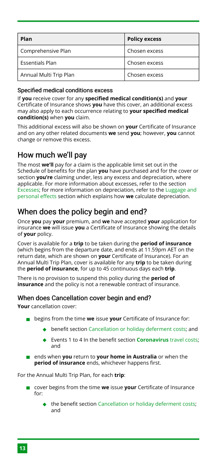| Plan                   | <b>Policy excess</b> |
|------------------------|----------------------|
| Comprehensive Plan     | Chosen excess        |
| <b>Essentials Plan</b> | Chosen excess        |
| Annual Multi Trip Plan | Chosen excess        |

#### Specified medical conditions excess

If **you** receive cover for any **specified medical condition(s)** and **your** Certificate of Insurance shows **you** have this cover, an additional excess may also apply to each occurrence relating to **your specified medical condition(s)** when **you** claim.

This additional excess will also be shown on **your** Certificate of Insurance and on any other related documents **we** send **you**; however, **you** cannot change or remove this excess.

# How much we'll pay

The most **we'll** pay for a claim is the applicable limit set out in the Schedule of benefits for the plan **you** have purchased and for the cover or section **you're** claiming under, less any excess and depreciation, where applicable. For more information about excesses, refer to the section [Excesses;](#page-12-0) for more information on depreciation, refer to the [Luggage and](#page-45-1) [personal effects](#page-45-1) section which explains how **we** calculate depreciation.

# When does the policy begin and end?

Once **you** pay **your** premium, and **we** have accepted **your** application for insurance **we** will issue **you** a Certificate of Insurance showing the details of **your** policy.

Cover is available for a **trip** to be taken during the **period of insurance** (which begins from the departure date, and ends at 11.59pm AET on the return date, which are shown on **your** Certificate of Insurance). For an Annual Multi Trip Plan, cover is available for any **trip** to be taken during the **period of insurance**, for up to 45 continuous days each **trip**.

There is no provision to suspend this policy during the **period of insurance** and the policy is not a renewable contract of insurance.

#### When does Cancellation cover begin and end?

**Your** cancellation cover:

- **begins from the time we issue your** Certificate of Insurance for:
	- benefit section [Cancellation or holiday deferment costs;](#page-35-0) and
	- Events 1 to 4 In the benefit section **[Coronavirus](#page-52-0)** travel costs; and
- ends when **you** return to **your home in Australia** or when the **period of insurance** ends, whichever happens first.

For the Annual Multi Trip Plan, for each **trip**:

- cover begins from the time **we** issue **your** Certificate of Insurance for:
	- the benefit section [Cancellation or holiday deferment costs;](#page-35-0) and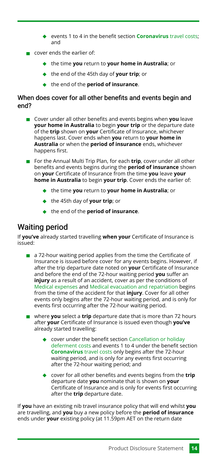- events 1 to 4 in the benefit section **[Coronavirus](#page-52-0)** travel costs; and
- cover ends the earlier of:
	- the time **you** return to **your home in Australia**; or
	- the end of the 45th day of **your trip**; or
	- **◆** the end of the **period of insurance**.

#### When does cover for all other benefits and events begin and end?

- **Cover under all other benefits and events begins when you leave your home in Australia** to begin **your trip** or the departure date of the **trip** shown on **your** Certificate of Insurance, whichever happens last. Cover ends when **you** return to **your home in Australia** or when the **period of insurance** ends, whichever happens first.
- For the Annual Multi Trip Plan, for each **trip**, cover under all other benefits and events begins during the **period of insurance** shown on **your** Certificate of Insurance from the time **you** leave **your home in Australia** to begin **your trip**. Cover ends the earlier of:
	- the time **you** return to **your home in Australia**; or
	- the 45th day of **your trip**; or
	- the end of the **period of insurance**.

# <span id="page-14-0"></span>Waiting period

If **you've** already started travelling **when your** Certificate of Insurance is issued:

- a 72-hour waiting period applies from the time the Certificate of  $\mathcal{L}_{\mathcal{A}}$ Insurance is issued before cover for any events begins. However, if after the trip departure date noted on **your** Certificate of Insurance and before the end of the 72-hour waiting period **you** suffer an **injury** as a result of an accident, cover as per the conditions of [Medical expenses](#page-37-0) and [Medical evacuation and repatriation](#page-40-0) begins from the time of the accident for that **injury**. Cover for all other events only begins after the 72-hour waiting period, and is only for events first occurring after the 72-hour waiting period.
- where **you** select a **trip** departure date that is more than 72 hours after **your** Certificate of Insurance is issued even though **you've** already started travelling:
	- cover under the benefit section [Cancellation or holiday](#page-35-0) [deferment costs](#page-35-0) and events 1 to 4 under the benefit section **[Coronavirus](#page-52-0)** travel costs only begins after the 72-hour waiting period, and is only for any events first occurring after the 72-hour waiting period; and
	- cover for all other benefits and events begins from the **trip** departure date **you** nominate that is shown on **your** Certificate of Insurance and is only for events first occurring after the **trip** departure date.

If **you** have an existing nib travel insurance policy that will end whilst **you** are travelling, and **you** buy a new policy before the **period of insurance** ends under **your** existing policy (at 11.59pm AET on the return date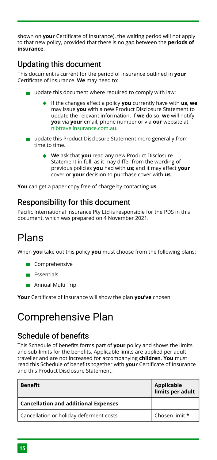shown on **your** Certificate of Insurance), the waiting period will not apply to that new policy, provided that there is no gap between the **periods of insurance**.

# Updating this document

This document is current for the period of insurance outlined in **your** Certificate of Insurance. **We** may need to:

- $\Box$  update this document where required to comply with law:
	- If the changes affect a policy **you** currently have with **us**, **we** may issue **you** with a new Product Disclosure Statement to update the relevant information. If **we** do so, **we** will notify **you** via **your** email, phone number or via **our** website at [nibtravelinsurance.com.au](https://www.nibtravelinsurance.com.au/amendment-options).
- update this Product Disclosure Statement more generally from time to time.
	- **We** ask that **you** read any new Product Disclosure Statement in full, as it may differ from the wording of previous policies **you** had with **us**; and it may affect **your** cover or **your** decision to purchase cover with **us**.

**You** can get a paper copy free of charge by contacting **us**.

### Responsibility for this document

Pacific International Insurance Pty Ltd is responsible for the PDS in this document, which was prepared on 4 November 2021.

# <span id="page-15-0"></span>Plans

When **you** take out this policy **you** must choose from the following plans:

- Comprehensive
- **Essentials**
- **Annual Multi Trip**

**Your** Certificate of Insurance will show the plan **you've** chosen.

# <span id="page-15-1"></span>Comprehensive Plan

# Schedule of benefits

This Schedule of benefits forms part of **your** policy and shows the limits and sub-limits for the benefits. Applicable limits are applied per adult traveller and are not increased for accompanying **children**. **You** must read this Schedule of benefits together with **your** Certificate of Insurance and this Product Disclosure Statement.

| <b>Benefit</b>                              | Applicable<br>limits per adult |
|---------------------------------------------|--------------------------------|
| <b>Cancellation and additional Expenses</b> |                                |
| Cancellation or holiday deferment costs     | Chosen limit *                 |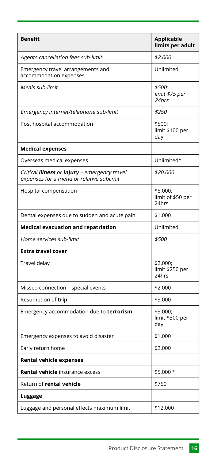| <b>Benefit</b>                                                                                            | <b>Applicable</b><br>limits per adult  |
|-----------------------------------------------------------------------------------------------------------|----------------------------------------|
| Agents cancellation fees sub-limit                                                                        | \$2,000                                |
| Emergency travel arrangements and<br>accommodation expenses                                               | Unlimited                              |
| Meals sub-limit                                                                                           | \$500;<br>limit \$75 per<br>24hrs      |
| Emergency internet/telephone sub-limit                                                                    | \$250                                  |
| Post hospital accommodation                                                                               | \$500;<br>limit \$100 per<br>day       |
| <b>Medical expenses</b>                                                                                   |                                        |
| Overseas medical expenses                                                                                 | Unlimited <sup>^</sup>                 |
| Critical <i>illness</i> or <i>injury</i> - emergency travel<br>expenses for a friend or relative sublimit | \$20,000                               |
| Hospital compensation                                                                                     | \$8,000;<br>limit of \$50 per<br>24hrs |
| Dental expenses due to sudden and acute pain                                                              | \$1,000                                |
| <b>Medical evacuation and repatriation</b>                                                                | Unlimited                              |
| Home services sub-limit                                                                                   | \$500                                  |
| <b>Extra travel cover</b>                                                                                 |                                        |
| Travel delay                                                                                              | \$2,000;<br>limit \$250 per<br>24hrs   |
| Missed connection - special events                                                                        |                                        |
|                                                                                                           | \$2,000                                |
| Resumption of trip                                                                                        | \$3,000                                |
| Emergency accommodation due to terrorism                                                                  | \$3,000;<br>limit \$300 per<br>day     |
| Emergency expenses to avoid disaster                                                                      | \$1,000                                |
| Early return home                                                                                         | \$2,000                                |
| <b>Rental vehicle expenses</b>                                                                            |                                        |
| <b>Rental vehicle</b> insurance excess                                                                    | \$5,000 *                              |
| Return of rental vehicle                                                                                  | \$750                                  |
| Luggage                                                                                                   |                                        |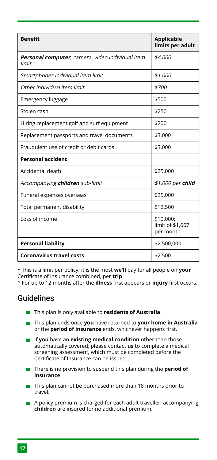| <b>Benefit</b>                                            | <b>Applicable</b><br>limits per adult      |
|-----------------------------------------------------------|--------------------------------------------|
| Personal computer, camera, video individual item<br>limit | \$4,000                                    |
| Smartphones individual item limit                         | \$1,000                                    |
| Other individual item limit                               | \$700                                      |
| Emergency luggage                                         | \$500                                      |
| Stolen cash                                               | \$250                                      |
| Hiring replacement golf and surf equipment                | \$200                                      |
| Replacement passports and travel documents                | \$3,000                                    |
| Fraudulent use of credit or debit cards                   | \$3,000                                    |
| <b>Personal accident</b>                                  |                                            |
| Accidental death                                          | \$25,000                                   |
| Accompanying children sub-limit                           | \$1,000 per child                          |
| Funeral expenses overseas                                 | \$25,000                                   |
| Total permanent disability                                | \$12,500                                   |
| Loss of income                                            | \$10,000;<br>limit of \$1,667<br>per month |
| <b>Personal liability</b>                                 | \$2,500,000                                |
| <b>Coronavirus travel costs</b>                           | \$2,500                                    |

\* This is a limit per policy; it is the most **we'll** pay for all people on **your** Certificate of Insurance combined, per **trip**.

^ For up to 12 months after the **illness** first appears or **injury** first occurs.

# Guidelines

- **This plan is only available to residents of Australia.**
- This plan ends once **you** have returned to **your home in Australia** or the **period of insurance** ends, whichever happens first.
- If **you** have an **existing medical condition** other than those automatically covered, please contact **us** to complete a medical screening assessment, which must be completed before the Certificate of Insurance can be issued.
- **There is no provision to suspend this plan during the period of insurance**.
- $\blacksquare$  This plan cannot be purchased more than 18 months prior to travel.
- A policy premium is charged for each adult traveller; accompanying **children** are insured for no additional premium.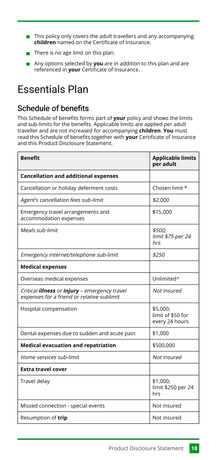- $\blacksquare$  This policy only covers the adult travellers and any accompanying **children** named on the Certificate of Insurance.
- There is no age limit on this plan.
- Any options selected by **you** are in addition to this plan and are referenced in **your** Certificate of Insurance.

# <span id="page-18-0"></span>Essentials Plan

# Schedule of benefits

This Schedule of benefits forms part of **your** policy and shows the limits and sub-limits for the benefits. Applicable limits are applied per adult traveller and are not increased for accompanying **children**. **You** must read this Schedule of benefits together with **your** Certificate of Insurance and this Product Disclosure Statement.

| <b>Benefit</b>                                                                                            | <b>Applicable limits</b><br>per adult           |
|-----------------------------------------------------------------------------------------------------------|-------------------------------------------------|
| <b>Cancellation and additional expenses</b>                                                               |                                                 |
| Cancellation or holiday deferment costs                                                                   | Chosen limit *                                  |
| Agent's cancellation fees sub-limit                                                                       | \$2,000                                         |
| Emergency travel arrangements and<br>accommodation expenses                                               | \$15,000                                        |
| Meals sub-limit                                                                                           | \$500;<br>limit \$75 per 24<br>hrs              |
| Emergency internet/telephone sub-limit                                                                    | \$250                                           |
| <b>Medical expenses</b>                                                                                   |                                                 |
| Overseas medical expenses                                                                                 | Unlimited^                                      |
| Critical <b>illness</b> or <i>injury</i> - emergency travel<br>expenses for a friend or relative sublimit | Not insured                                     |
| Hospital compensation                                                                                     | \$5,000;<br>limit of \$50 for<br>every 24 hours |
| Dental expenses due to sudden and acute pain                                                              | \$1,000                                         |
| <b>Medical evacuation and repatriation</b>                                                                | \$500,000                                       |
| Home services sub-limit                                                                                   | Not insured                                     |
| <b>Extra travel cover</b>                                                                                 |                                                 |
| Travel delay                                                                                              | \$1,000;<br>limit \$250 per 24<br>hrs           |
| Missed connection - special events                                                                        | Not insured                                     |
| Resumption of trip                                                                                        | Not insured                                     |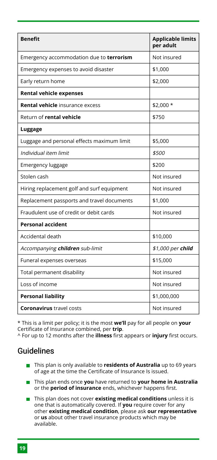| <b>Benefit</b>                             | <b>Applicable limits</b><br>per adult |
|--------------------------------------------|---------------------------------------|
| Emergency accommodation due to terrorism   | Not insured                           |
| Emergency expenses to avoid disaster       | \$1,000                               |
| Early return home                          | \$2,000                               |
| <b>Rental vehicle expenses</b>             |                                       |
| <b>Rental vehicle</b> insurance excess     | \$2.000 *                             |
| Return of rental vehicle                   | \$750                                 |
| Luggage                                    |                                       |
| Luggage and personal effects maximum limit | \$5,000                               |
| Individual item limit                      | \$500                                 |
| Emergency luggage                          | \$200                                 |
| Stolen cash                                | Not insured                           |
| Hiring replacement golf and surf equipment | Not insured                           |
| Replacement passports and travel documents | \$1,000                               |
| Fraudulent use of credit or debit cards    | Not insured                           |
| <b>Personal accident</b>                   |                                       |
| Accidental death                           | \$10,000                              |
| Accompanying children sub-limit            | \$1,000 per child                     |
| Funeral expenses overseas                  | \$15,000                              |
| Total permanent disability                 | Not insured                           |
| Loss of income                             | Not insured                           |
| <b>Personal liability</b>                  | \$1,000,000                           |
| <b>Coronavirus</b> travel costs            | Not insured                           |

\* This is a limit per policy; it is the most **we'll** pay for all people on **your** Certificate of Insurance combined, per **trip**.

^ For up to 12 months after the **illness** first appears or **injury** first occurs.

### Guidelines

- **This plan is only available to residents of Australia** up to 69 years of age at the time the Certificate of Insurance Is issued.
- This plan ends once **you** have returned to **your home in Australia** or the **period of insurance** ends, whichever happens first.
- **This plan does not cover existing medical conditions** unless it is one that is automatically covered. If **you** require cover for any other **existing medical condition**, please ask **our representative** or **us** about other travel insurance products which may be available.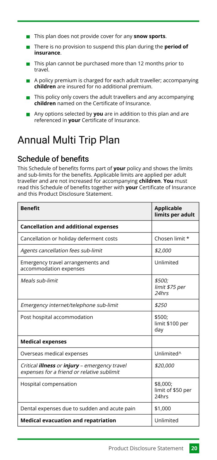- **This plan does not provide cover for any snow sports.**
- **There is no provision to suspend this plan during the period of insurance**.
- $\blacksquare$  This plan cannot be purchased more than 12 months prior to travel.
- $\blacksquare$  A policy premium is charged for each adult traveller; accompanying **children** are insured for no additional premium.
- $\blacksquare$  This policy only covers the adult travellers and any accompanying **children** named on the Certificate of Insurance.
- Any options selected by **you** are in addition to this plan and are referenced in **your** Certificate of Insurance.

# <span id="page-20-0"></span>Annual Multi Trip Plan

# Schedule of benefits

This Schedule of benefits forms part of **your** policy and shows the limits and sub-limits for the benefits. Applicable limits are applied per adult traveller and are not increased for accompanying **children**. **You** must read this Schedule of benefits together with **your** Certificate of Insurance and this Product Disclosure Statement.

| <b>Benefit</b>                                                                                            | Applicable<br>limits per adult                |
|-----------------------------------------------------------------------------------------------------------|-----------------------------------------------|
| <b>Cancellation and additional expenses</b>                                                               |                                               |
| Cancellation or holiday deferment costs                                                                   | Chosen limit *                                |
| Agents cancellation fees sub-limit                                                                        | \$2,000                                       |
| Emergency travel arrangements and<br>accommodation expenses                                               | Unlimited                                     |
| Meals sub-limit                                                                                           | \$500:<br>limit \$75 per<br>24hr <sub>5</sub> |
| Emergency internet/telephone sub-limit                                                                    | \$250                                         |
| Post hospital accommodation                                                                               | \$500:<br>limit \$100 per<br>day              |
| <b>Medical expenses</b>                                                                                   |                                               |
| Overseas medical expenses                                                                                 | Unlimited <sup>^</sup>                        |
| Critical <b>illness</b> or <i>injury</i> - emergency travel<br>expenses for a friend or relative sublimit | \$20,000                                      |
| Hospital compensation                                                                                     | \$8,000;<br>limit of \$50 per<br>24hrs        |
| Dental expenses due to sudden and acute pain                                                              | \$1,000                                       |
| <b>Medical evacuation and repatriation</b>                                                                | Unlimited                                     |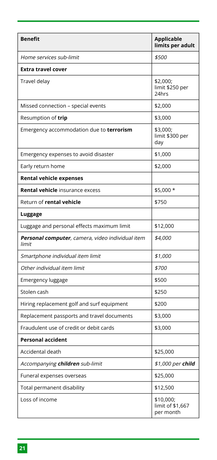| <b>Benefit</b>                                            | <b>Applicable</b><br>limits per adult      |
|-----------------------------------------------------------|--------------------------------------------|
| Home services sub-limit                                   | \$500                                      |
| <b>Extra travel cover</b>                                 |                                            |
| Travel delay                                              | \$2,000;<br>limit \$250 per<br>24hrs       |
| Missed connection - special events                        | \$2,000                                    |
| Resumption of trip                                        | \$3,000                                    |
| Emergency accommodation due to terrorism                  | \$3,000;<br>limit \$300 per<br>day         |
| Emergency expenses to avoid disaster                      | \$1,000                                    |
| Early return home                                         | \$2,000                                    |
| <b>Rental vehicle expenses</b>                            |                                            |
| <b>Rental vehicle</b> insurance excess                    | \$5,000 *                                  |
| Return of rental vehicle                                  | \$750                                      |
| Luggage                                                   |                                            |
| Luggage and personal effects maximum limit                | \$12,000                                   |
| Personal computer, camera, video individual item<br>limit | \$4,000                                    |
| Smartphone individual item limit                          | \$1,000                                    |
| Other individual item limit                               | \$700                                      |
| Emergency luggage                                         | \$500                                      |
| Stolen cash                                               | \$250                                      |
| Hiring replacement golf and surf equipment                | \$200                                      |
| Replacement passports and travel documents                | \$3,000                                    |
| Fraudulent use of credit or debit cards                   | \$3,000                                    |
| <b>Personal accident</b>                                  |                                            |
| Accidental death                                          | \$25,000                                   |
| Accompanying <b>children</b> sub-limit                    | \$1,000 per <b>child</b>                   |
| Funeral expenses overseas                                 | \$25,000                                   |
| Total permanent disability                                | \$12,500                                   |
| Loss of income                                            | \$10,000;<br>limit of \$1,667<br>per month |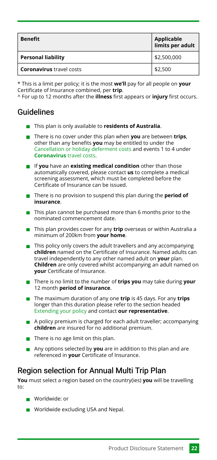| <b>Benefit</b>                  | Applicable<br>limits per adult |
|---------------------------------|--------------------------------|
| <b>Personal liability</b>       | \$2,500,000                    |
| <b>Coronavirus</b> travel costs | \$2,500                        |

\* This is a limit per policy; it is the most **we'll** pay for all people on **your** Certificate of Insurance combined, per **trip**.

^ For up to 12 months after the **illness** first appears or **injury** first occurs.

# Guidelines

- **This plan is only available to residents of Australia.**
- There is no cover under this plan when **you** are between **trips**, other than any benefits **you** may be entitled to under the [Cancellation or holiday deferment costs](#page-35-0) and events 1 to 4 under **[Coronavirus](#page-52-0)** travel costs.
- If **you** have an **existing medical condition** other than those automatically covered, please contact **us** to complete a medical screening assessment, which must be completed before the Certificate of Insurance can be issued.
- **There is no provision to suspend this plan during the period of insurance**.
- $\blacksquare$  This plan cannot be purchased more than 6 months prior to the nominated commencement date.
- **This plan provides cover for any trip** overseas or within Australia a minimum of 200km from **your home**.
- This policy only covers the adult travellers and any accompanying **children** named on the Certificate of Insurance. Named adults can travel independently to any other named adult on **your** plan. **Children** are only covered whilst accompanying an adult named on **your** Certificate of Insurance.
- There is no limit to the number of **trips you** may take during **your** 12 month **period of insurance**.
- The maximum duration of any one **trip** is 45 days. For any **trips** longer than this duration please refer to the section headed [Extending your policy](#page-10-0) and contact **our representative**.
- A policy premium is charged for each adult traveller; accompanying **children** are insured for no additional premium.
- $\blacksquare$  There is no age limit on this plan.
- Any options selected by **you** are in addition to this plan and are referenced in **your** Certificate of Insurance.

# Region selection for Annual Multi Trip Plan

**You** must select a region based on the country(ies) **you** will be travelling to:

- Worldwide: or
- Worldwide excluding USA and Nepal.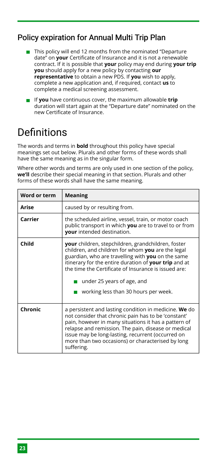# Policy expiration for Annual Multi Trip Plan

- $\blacksquare$  This policy will end 12 months from the nominated "Departure date" on **your** Certificate of Insurance and it is not a renewable contract. If it is possible that **your** policy may end during **your trip you** should apply for a new policy by contacting **our representative** to obtain a new PDS. If **you** wish to apply, complete a new application and, if required, contact **us** to complete a medical screening assessment.
- If **you** have continuous cover, the maximum allowable **trip** duration will start again at the "Departure date" nominated on the new Certificate of Insurance.

# <span id="page-23-0"></span>Definitions

The words and terms in **bold** throughout this policy have special meanings set out below. Plurals and other forms of these words shall have the same meaning as in the singular form.

Where other words and terms are only used in one section of the policy, **we'll** describe their special meaning in that section. Plurals and other forms of these words shall have the same meaning.

| Word or term | <b>Meaning</b>                                                                                                                                                                                                                                                                                                                                             |
|--------------|------------------------------------------------------------------------------------------------------------------------------------------------------------------------------------------------------------------------------------------------------------------------------------------------------------------------------------------------------------|
| Arise        | caused by or resulting from.                                                                                                                                                                                                                                                                                                                               |
| Carrier      | the scheduled airline, vessel, train, or motor coach<br>public transport in which you are to travel to or from<br>your intended destination.                                                                                                                                                                                                               |
| Child        | <b>your</b> children, stepchildren, grandchildren, foster<br>children, and children for whom you are the legal<br>guardian, who are travelling with you on the same<br>itinerary for the entire duration of your trip and at<br>the time the Certificate of Insurance is issued are:<br>under 25 years of age, and<br>working less than 30 hours per week. |
| Chronic      | a persistent and lasting condition in medicine. We do<br>not consider that chronic pain has to be 'constant'<br>pain, however in many situations it has a pattern of<br>relapse and remission. The pain, disease or medical<br>issue may be long-lasting, recurrent (occurred on<br>more than two occasions) or characterised by long<br>suffering.        |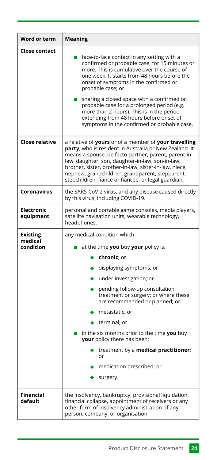| Word or term                            | <b>Meaning</b>                                                                                                                                                                                                                                                                                                                                                                                                                                                                              |
|-----------------------------------------|---------------------------------------------------------------------------------------------------------------------------------------------------------------------------------------------------------------------------------------------------------------------------------------------------------------------------------------------------------------------------------------------------------------------------------------------------------------------------------------------|
| <b>Close contact</b>                    | face-to-face contact in any setting with a<br>confirmed or probable case, for 15 minutes or<br>more. This is cumulative over the course of<br>one week. It starts from 48 hours before the<br>onset of symptoms in the confirmed or<br>probable case; or<br>sharing a closed space with a confirmed or<br>probable case for a prolonged period (e.g.<br>more than 2 hours). This is in the period<br>extending from 48 hours before onset of<br>symptoms in the confirmed or probable case. |
| <b>Close relative</b>                   | a relative of yours or of a member of your travelling<br>party, who is resident in Australia or New Zealand. It<br>means a spouse, de facto partner, parent, parent-in-<br>law, daughter, son, daughter-in-law, son-in-law,<br>brother, sister, brother-in-law, sister-in-law, niece,<br>nephew, grandchildren, grandparent, stepparent,<br>stepchildren, fiance or fiancee, or legal guardian.                                                                                             |
| Coronavirus                             | the SARS-CoV-2 virus, and any disease caused directly<br>by this virus, including COVID-19.                                                                                                                                                                                                                                                                                                                                                                                                 |
| <b>Electronic</b><br>equipment          | personal and portable game consoles, media players,<br>satellite navigation units, wearable technology,<br>headphones.                                                                                                                                                                                                                                                                                                                                                                      |
| <b>Existing</b><br>medical<br>condition | any medical condition which:<br>at the time you buy your policy is:<br>chronic; or<br>displaying symptoms; or<br>under investigation; or<br>pending follow-up consultation,<br>treatment or surgery; or where these<br>are recommended or planned; or<br>metastatic; or<br>terminal; or<br>in the six months prior to the time you buy<br>your policy there has been:<br>treatment by a medical practitioner;<br>or<br>medication prescribed; or<br>surgery.                                |
| <b>Financial</b><br>default             | the insolvency, bankruptcy, provisional liquidation,<br>financial collapse, appointment of receivers or any<br>other form of insolvency administration of any<br>person, company, or organisation.                                                                                                                                                                                                                                                                                          |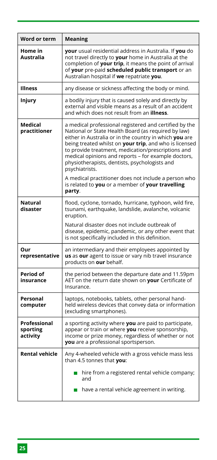| Word or term                         | <b>Meaning</b>                                                                                                                                                                                                                                                                                                                                                                                                    |
|--------------------------------------|-------------------------------------------------------------------------------------------------------------------------------------------------------------------------------------------------------------------------------------------------------------------------------------------------------------------------------------------------------------------------------------------------------------------|
| Home in<br>Australia                 | your usual residential address in Australia. If you do<br>not travel directly to your home in Australia at the<br>completion of your trip, it means the point of arrival<br>of your pre-paid scheduled public transport or an<br>Australian hospital if we repatriate you.                                                                                                                                        |
| <b>Illness</b>                       | any disease or sickness affecting the body or mind.                                                                                                                                                                                                                                                                                                                                                               |
| Injury                               | a bodily injury that is caused solely and directly by<br>external and visible means as a result of an accident<br>and which does not result from an <b>illness</b> .                                                                                                                                                                                                                                              |
| Medical<br>practitioner              | a medical professional registered and certified by the<br>National or State Health Board (as required by law)<br>either in Australia or in the country in which you are<br>being treated whilst on your trip, and who is licensed<br>to provide treatment, medication/prescriptions and<br>medical opinions and reports - for example doctors,<br>physiotherapists, dentists, psychologists and<br>psychiatrists. |
|                                      | A medical practitioner does not include a person who<br>is related to you or a member of your travelling<br>party.                                                                                                                                                                                                                                                                                                |
| <b>Natural</b><br>disaster           | flood, cyclone, tornado, hurricane, typhoon, wild fire,<br>tsunami, earthquake, landslide, avalanche, volcanic<br>eruption.                                                                                                                                                                                                                                                                                       |
|                                      | Natural disaster does not include outbreak of<br>disease, epidemic, pandemic, or any other event that<br>is not specifically included in this definition.                                                                                                                                                                                                                                                         |
| Our<br>representative                | an intermediary and their employees appointed by<br>us as our agent to issue or vary nib travel insurance<br>products on our behalf.                                                                                                                                                                                                                                                                              |
| Period of<br>insurance               | the period between the departure date and 11.59pm<br>AET on the return date shown on your Certificate of<br>Insurance.                                                                                                                                                                                                                                                                                            |
| Personal<br>computer                 | laptops, notebooks, tablets, other personal hand-<br>held wireless devices that convey data or information<br>(excluding smartphones).                                                                                                                                                                                                                                                                            |
| Professional<br>sporting<br>activity | a sporting activity where you are paid to participate,<br>appear or train or where you receive sponsorship,<br>income or prize money, regardless of whether or not<br>you are a professional sportsperson.                                                                                                                                                                                                        |
| <b>Rental vehicle</b>                | Any 4-wheeled vehicle with a gross vehicle mass less<br>than 4.5 tonnes that you:<br>$\blacksquare$ hire from a registered rental vehicle company;<br>and<br>$\blacksquare$ have a rental vehicle agreement in writing.                                                                                                                                                                                           |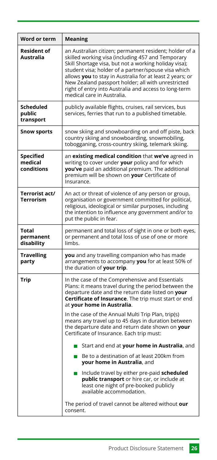| Word or term                       | Meaning                                                                                                                                                                                                                                                                                                                                                                                                                                                                                                                                                                                        |
|------------------------------------|------------------------------------------------------------------------------------------------------------------------------------------------------------------------------------------------------------------------------------------------------------------------------------------------------------------------------------------------------------------------------------------------------------------------------------------------------------------------------------------------------------------------------------------------------------------------------------------------|
| <b>Resident of</b><br>Australia    | an Australian citizen; permanent resident; holder of a<br>skilled working visa (including 457 and Temporary<br>Skill Shortage visa, but not a working holiday visa);<br>student visa; holder of a partner/spouse visa which<br>allows you to stay in Australia for at least 2 years; or<br>New Zealand passport holder; all with unrestricted<br>right of entry into Australia and access to long-term<br>medical care in Australia.                                                                                                                                                           |
| Scheduled<br>public<br>transport   | publicly available flights, cruises, rail services, bus<br>services, ferries that run to a published timetable.                                                                                                                                                                                                                                                                                                                                                                                                                                                                                |
| Snow sports                        | snow skiing and snowboarding on and off piste, back<br>country skiing and snowboarding, snowmobiling,<br>tobogganing, cross-country skiing, telemark skiing.                                                                                                                                                                                                                                                                                                                                                                                                                                   |
| Specified<br>medical<br>conditions | an existing medical condition that we've agreed in<br>writing to cover under your policy and for which<br>you've paid an additional premium. The additional<br>premium will be shown on your Certificate of<br>Insurance.                                                                                                                                                                                                                                                                                                                                                                      |
| Terrorist act/<br><b>Terrorism</b> | An act or threat of violence of any person or group,<br>organisation or government committed for political,<br>religious, ideological or similar purposes, including<br>the intention to influence any government and/or to<br>put the public in fear.                                                                                                                                                                                                                                                                                                                                         |
| Total<br>permanent<br>disability   | permanent and total loss of sight in one or both eyes,<br>or permanent and total loss of use of one or more<br>limhs                                                                                                                                                                                                                                                                                                                                                                                                                                                                           |
| <b>Travelling</b><br>party         | you and any travelling companion who has made<br>arrangements to accompany you for at least 50% of<br>the duration of your trip.                                                                                                                                                                                                                                                                                                                                                                                                                                                               |
| Trip                               | In the case of the Comprehensive and Essentials<br>Plans: it means travel during the period between the<br>departure date and the return date listed on your<br>Certificate of Insurance. The trip must start or end<br>at your home in Australia.<br>In the case of the Annual Multi Trip Plan, trip(s)<br>means any travel up to 45 days in duration between<br>the departure date and return date shown on your<br>Certificate of Insurance. Each trip must:<br>Start and end at your home in Australia, and<br>■ Be to a destination of at least 200km from<br>your home in Australia, and |
|                                    | Include travel by either pre-paid scheduled<br><b>Tale</b><br>public transport or hire car, or include at<br>least one night of pre-booked publicly<br>available accommodation.<br>The period of travel cannot be altered without our<br>consent.                                                                                                                                                                                                                                                                                                                                              |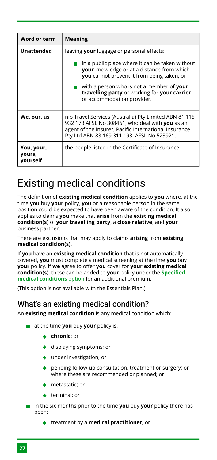| Word or term                     | <b>Meaning</b>                                                                                                                                                                                                    |
|----------------------------------|-------------------------------------------------------------------------------------------------------------------------------------------------------------------------------------------------------------------|
| <b>Unattended</b>                | leaving your luggage or personal effects:                                                                                                                                                                         |
|                                  | in a public place where it can be taken without<br><b>your</b> knowledge or at a distance from which<br><b>you</b> cannot prevent it from being taken; or                                                         |
|                                  | with a person who is not a member of your<br>travelling party or working for your carrier<br>or accommodation provider.                                                                                           |
| We, our, us                      | nib Travel Services (Australia) Pty Limited ABN 81 115<br>932 173 AFSL No 308461, who deal with you as an<br>agent of the insurer, Pacific International Insurance<br>Pty Ltd ABN 83 169 311 193, AFSL No 523921. |
| You, your,<br>yours,<br>yourself | the people listed in the Certificate of Insurance.                                                                                                                                                                |

# <span id="page-27-0"></span>Existing medical conditions

The definition of **existing medical condition** applies to **you** where, at the time **you** buy **your** policy, **you** or a reasonable person in the same position could be expected to have been aware of the condition. It also applies to claims **you** make that **arise** from the **existing medical condition(s)** of **your travelling party**, a **close relative**, and **your** business partner.

There are exclusions that may apply to claims **arising** from **existing medical condition(s)**.

If **you** have an **existing medical condition** that is not automatically covered, **you** must complete a medical screening at the time **you** buy **your** policy. If **we** agree to offer **you** cover for **your existing medical condition(s)**, these can be added to **your** policy under the **[Specified](#page-7-2) [medical conditions](#page-7-2)** option for an additional premium.

(This option is not available with the Essentials Plan.)

# What's an existing medical condition?

An **existing medical condition** is any medical condition which:

- **a** at the time **you** buy **your** policy is:
	- **chronic**; or
	- ◆ displaying symptoms; or
	- under investigation; or
	- pending follow-up consultation, treatment or surgery; or where these are recommended or planned; or
	- ◆ metastatic; or
	- $\triangleleft$  terminal; or
- **in** the six months prior to the time **you** buy **your** policy there has been:
	- treatment by a **medical practitioner**; or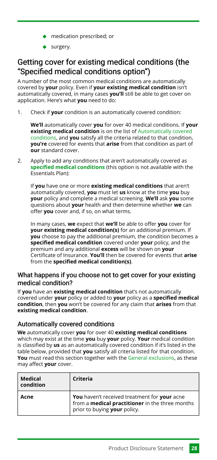- medication prescribed; or
- ◆ surgery.

# <span id="page-28-1"></span>Getting cover for existing medical conditions (the "Specified medical conditions option")

A number of the most common medical conditions are automatically covered by **your** policy. Even if **your existing medical condition** isn't automatically covered, in many cases **you'll** still be able to get cover on application. Here's what **you** need to do:

Check if **your** condition is an automatically covered condition: 1.

**We'll** automatically cover **you** for over 40 medical conditions. If **your existing medical condition** is on the list of [Automatically covered](#page-28-0) [conditions,](#page-28-0) and **you** satisfy all the criteria related to that condition, **you're** covered for events that **arise** from that condition as part of **our** standard cover.

Apply to add any conditions that aren't automatically covered as **[specified medical conditions](#page-7-2)** (this option is not available with the Essentials Plan): 2.

If **you** have one or more **existing medical conditions** that aren't automatically covered, **you** must let **us** know at the time **you** buy **your** policy and complete a medical screening. **We'll** ask **you** some questions about **your** health and then determine whether **we** can offer **you** cover and, if so, on what terms.

In many cases, **we** expect that **we'll** be able to offer **you** cover for **your existing medical condition(s)** for an additional premium. If **you** choose to pay the additional premium, the condition becomes a **specified medical condition** covered under **your** policy, and the premium and any additional **excess** will be shown on **your** Certificate of Insurance. **You'll** then be covered for events that **arise** from the **specified medical condition(s)**.

#### What happens if you choose not to get cover for your existing medical condition?

If **you** have an **existing medical condition** that's not automatically covered under **your** policy or added to **your** policy as a **specified medical condition**, then **you** won't be covered for any claim that **arises** from that **existing medical condition**.

#### <span id="page-28-0"></span>Automatically covered conditions

**We** automatically cover **you** for over 40 **existing medical conditions** which may exist at the time **you** buy **your** policy. **Your** medical condition is classified by **us** as an automatically covered condition if it's listed in the table below, provided that **you** satisfy all criteria listed for that condition. **You** must read this section together with the [General exclusions,](#page-55-0) as these may affect **your** cover.

| Medical<br>condition | Criteria                                                                                                                               |
|----------------------|----------------------------------------------------------------------------------------------------------------------------------------|
| Acne                 | You haven't received treatment for your acne<br>from a <b>medical practitioner</b> in the three months<br>prior to buying your policy. |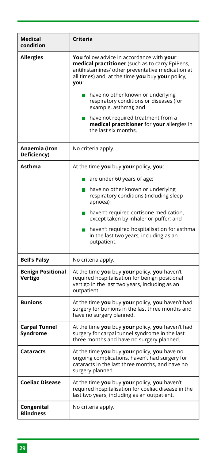| Medical<br>condition                | Criteria                                                                                                                                                                                                                                                                                                                                                                                                                                               |
|-------------------------------------|--------------------------------------------------------------------------------------------------------------------------------------------------------------------------------------------------------------------------------------------------------------------------------------------------------------------------------------------------------------------------------------------------------------------------------------------------------|
| <b>Allergies</b>                    | You follow advice in accordance with your<br>medical practitioner (such as to carry EpiPens,<br>antihistamines/ other preventative medication at<br>all times) and, at the time you buy your policy,<br>you:<br>have no other known or underlying<br><b>The Second</b><br>respiratory conditions or diseases (for<br>example, asthma); and<br>have not required treatment from a<br>medical practitioner for your allergies in<br>the last six months. |
| Anaemia (Iron<br>Deficiency)        | No criteria apply.                                                                                                                                                                                                                                                                                                                                                                                                                                     |
| Asthma                              | At the time you buy your policy, you:                                                                                                                                                                                                                                                                                                                                                                                                                  |
|                                     | are under 60 years of age;<br>n.                                                                                                                                                                                                                                                                                                                                                                                                                       |
|                                     | have no other known or underlying<br>respiratory conditions (including sleep<br>apnoea);                                                                                                                                                                                                                                                                                                                                                               |
|                                     | $\blacksquare$ haven't required cortisone medication,<br>except taken by inhaler or puffer; and                                                                                                                                                                                                                                                                                                                                                        |
|                                     | $\blacksquare$ haven't required hospitalisation for asthma<br>in the last two years, including as an<br>outpatient.                                                                                                                                                                                                                                                                                                                                    |
| <b>Bell's Palsy</b>                 | No criteria apply.                                                                                                                                                                                                                                                                                                                                                                                                                                     |
| <b>Benign Positional</b><br>Vertigo | At the time you buy your policy, you haven't<br>required hospitalisation for benign positional<br>vertigo in the last two years, including as an<br>outpatient.                                                                                                                                                                                                                                                                                        |
| <b>Bunions</b>                      | At the time you buy your policy, you haven't had<br>surgery for bunions in the last three months and<br>have no surgery planned.                                                                                                                                                                                                                                                                                                                       |
| <b>Carpal Tunnel</b><br>Syndrome    | At the time you buy your policy, you haven't had<br>surgery for carpal tunnel syndrome in the last<br>three months and have no surgery planned.                                                                                                                                                                                                                                                                                                        |
| Cataracts                           | At the time you buy your policy, you have no<br>ongoing complications, haven't had surgery for<br>cataracts in the last three months, and have no<br>surgery planned.                                                                                                                                                                                                                                                                                  |
| <b>Coeliac Disease</b>              | At the time you buy your policy, you haven't<br>required hospitalisation for coeliac disease in the<br>last two years, including as an outpatient.                                                                                                                                                                                                                                                                                                     |
| Congenital<br><b>Blindness</b>      | No criteria apply.                                                                                                                                                                                                                                                                                                                                                                                                                                     |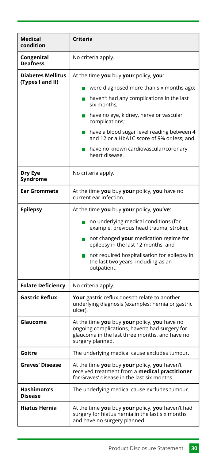| Medical<br>condition                         | Criteria                                                                                                                                                                                                                                                                                                                                                                                                                                                                                                    |
|----------------------------------------------|-------------------------------------------------------------------------------------------------------------------------------------------------------------------------------------------------------------------------------------------------------------------------------------------------------------------------------------------------------------------------------------------------------------------------------------------------------------------------------------------------------------|
| Congenital<br><b>Deafness</b>                | No criteria apply.                                                                                                                                                                                                                                                                                                                                                                                                                                                                                          |
| <b>Diabetes Mellitus</b><br>(Types I and II) | At the time you buy your policy, you:<br>were diagnosed more than six months ago;<br>haven't had any complications in the last<br>six months;<br>have no eye, kidney, nerve or vascular<br>$\blacksquare$<br>complications;<br>have a blood sugar level reading between 4<br>and 12 or a HbA1C score of 9% or less; and<br>have no known cardiovascular/coronary<br><b>The Contract of the Contract of the Contract of the Contract of the Contract of the Contract of the Contract o</b><br>heart disease. |
| Dry Eye<br>Syndrome                          | No criteria apply.                                                                                                                                                                                                                                                                                                                                                                                                                                                                                          |
| <b>Ear Grommets</b>                          | At the time you buy your policy, you have no<br>current ear infection.                                                                                                                                                                                                                                                                                                                                                                                                                                      |
| <b>Epilepsy</b>                              | At the time you buy your policy, you've:<br>no underlying medical conditions (for<br>m.<br>example, previous head trauma, stroke);<br>not changed your medication regime for<br>epilepsy in the last 12 months; and<br>not required hospitalisation for epilepsy in<br>П<br>the last two years, including as an<br>outpatient.                                                                                                                                                                              |
| <b>Folate Deficiency</b>                     | No criteria apply.                                                                                                                                                                                                                                                                                                                                                                                                                                                                                          |
| Gastric Reflux                               | Your gastric reflux doesn't relate to another<br>underlying diagnosis (examples: hernia or gastric<br>ulcer).                                                                                                                                                                                                                                                                                                                                                                                               |
| Glaucoma                                     | At the time you buy your policy, you have no<br>ongoing complications, haven't had surgery for<br>glaucoma in the last three months, and have no<br>surgery planned.                                                                                                                                                                                                                                                                                                                                        |
| Goitre                                       | The underlying medical cause excludes tumour.                                                                                                                                                                                                                                                                                                                                                                                                                                                               |
| <b>Graves' Disease</b>                       | At the time you buy your policy, you haven't<br>received treatment from a <b>medical practitioner</b><br>for Graves' disease in the last six months.                                                                                                                                                                                                                                                                                                                                                        |
| Hashimoto's<br><b>Disease</b>                | The underlying medical cause excludes tumour.                                                                                                                                                                                                                                                                                                                                                                                                                                                               |
| Hiatus Hernia                                | At the time you buy your policy, you haven't had<br>surgery for hiatus hernia in the last six months<br>and have no surgery planned.                                                                                                                                                                                                                                                                                                                                                                        |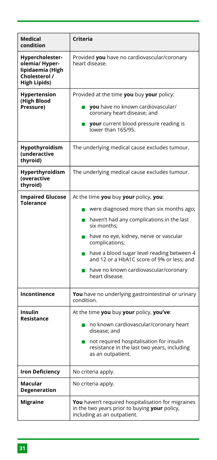| Medical<br>condition                                                                         | Criteria                                                                                                                                                                                                                                                                                                                                                                                             |
|----------------------------------------------------------------------------------------------|------------------------------------------------------------------------------------------------------------------------------------------------------------------------------------------------------------------------------------------------------------------------------------------------------------------------------------------------------------------------------------------------------|
| Hypercholester-<br>olemia/Hyper-<br>lipidaemia (High<br>Cholesterol /<br><b>High Lipids)</b> | Provided you have no cardiovascular/coronary<br>heart disease.                                                                                                                                                                                                                                                                                                                                       |
| Hypertension<br>(High Blood<br>Pressure)                                                     | Provided at the time you buy your policy:<br>you have no known cardiovascular/<br>coronary heart disease; and<br><b>your</b> current blood pressure reading is<br>lower than 165/95.                                                                                                                                                                                                                 |
| Hypothyroidism<br>(underactive<br>thyroid)                                                   | The underlying medical cause excludes tumour.                                                                                                                                                                                                                                                                                                                                                        |
| Hyperthyroidism<br>(overactive<br>thyroid)                                                   | The underlying medical cause excludes tumour.                                                                                                                                                                                                                                                                                                                                                        |
| <b>Impaired Glucose</b><br>Tolerance                                                         | At the time you buy your policy, you:<br>were diagnosed more than six months ago;<br>haven't had any complications in the last<br><b>The Second</b><br>six months;<br>have no eye, kidney, nerve or vascular<br><b>Tale</b><br>complications;<br>have a blood sugar level reading between 4<br>and 12 or a HbA1C score of 9% or less; and<br>have no known cardiovascular/coronary<br>heart disease. |
| Incontinence                                                                                 | You have no underlying gastrointestinal or urinary<br>condition.                                                                                                                                                                                                                                                                                                                                     |
| Insulin<br>Resistance                                                                        | At the time you buy your policy, you've:<br>no known cardiovascular/coronary heart<br>m.<br>disease; and<br>not required hospitalisation for insulin<br><b>The Second</b><br>resistance in the last two years, including<br>as an outpatient.                                                                                                                                                        |
| Iron Deficiency                                                                              | No criteria apply.                                                                                                                                                                                                                                                                                                                                                                                   |
| Macular<br><b>Degeneration</b>                                                               | No criteria apply.                                                                                                                                                                                                                                                                                                                                                                                   |
| <b>Migraine</b>                                                                              | You haven't required hospitalisation for migraines<br>in the two years prior to buying your policy,<br>including as an outpatient.                                                                                                                                                                                                                                                                   |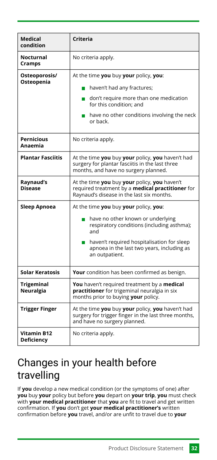| Medical<br>condition                    | Criteria                                                                                                                                                                                                                                                       |
|-----------------------------------------|----------------------------------------------------------------------------------------------------------------------------------------------------------------------------------------------------------------------------------------------------------------|
| Nocturnal<br>Cramps                     | No criteria apply.                                                                                                                                                                                                                                             |
| Osteoporosis/<br>Osteopenia             | At the time you buy your policy, you:<br>haven't had any fractures;<br>$\Box$ don't require more than one medication<br>for this condition: and<br>have no other conditions involving the neck<br>or back.                                                     |
| <b>Pernicious</b><br>Anaemia            | No criteria apply.                                                                                                                                                                                                                                             |
| <b>Plantar Fasciitis</b>                | At the time you buy your policy, you haven't had<br>surgery for plantar fasciitis in the last three<br>months, and have no surgery planned.                                                                                                                    |
| Raynaud's<br><b>Disease</b>             | At the time you buy your policy, you haven't<br>required treatment by a <b>medical practitioner</b> for<br>Raynaud's disease in the last six months.                                                                                                           |
| Sleep Apnoea                            | At the time you buy your policy, you:<br>have no other known or underlying<br>$\mathcal{L}$<br>respiratory conditions (including asthma);<br>and<br>haven't required hospitalisation for sleep<br>apnoea in the last two years, including as<br>an outpatient. |
| Solar Keratosis                         | Your condition has been confirmed as benign.                                                                                                                                                                                                                   |
| <b>Trigeminal</b><br>Neuralgia          | You haven't required treatment by a medical<br>practitioner for trigeminal neuralgia in six<br>months prior to buying your policy.                                                                                                                             |
| <b>Trigger Finger</b>                   | At the time you buy your policy, you haven't had<br>surgery for trigger finger in the last three months,<br>and have no surgery planned.                                                                                                                       |
| <b>Vitamin B12</b><br><b>Deficiency</b> | No criteria apply.                                                                                                                                                                                                                                             |

# <span id="page-32-0"></span>Changes in your health before travelling

If **you** develop a new medical condition (or the symptoms of one) after **you** buy **your** policy but before **you** depart on **your trip**, **you** must check with **your medical practitioner** that **you** are fit to travel and get written confirmation. If **you** don't get **your medical practitioner's** written confirmation before **you** travel, and/or are unfit to travel due to **your**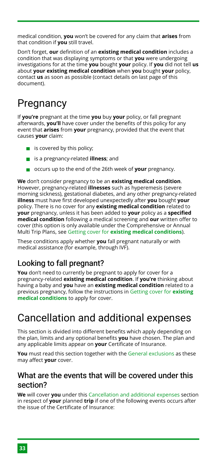medical condition, **you** won't be covered for any claim that **arises** from that condition if **you** still travel.

Don't forget, **our** definition of an **existing medical condition** includes a condition that was displaying symptoms or that **you** were undergoing investigations for at the time **you** bought **your** policy. If **you** did not tell **us** about **your existing medical condition** when **you** bought **your** policy, contact **us** as soon as possible (contact details on last page of this document).

# <span id="page-33-0"></span>**Pregnancy**

If **you're** pregnant at the time **you** buy **your** policy, or fall pregnant afterwards, **you'll** have cover under the benefits of this policy for any event that **arises** from **your** pregnancy, provided that the event that causes **your** claim:

- $\blacksquare$  is covered by this policy;
- is a pregnancy-related **illness**; and
- occurs up to the end of the 26th week of **your** pregnancy.

**We** don't consider pregnancy to be an **existing medical condition**. However, pregnancy-related **illnesses** such as hyperemesis (severe morning sickness), gestational diabetes, and any other pregnancy-related **illness** must have first developed unexpectedly after **you** bought **your** policy. There is no cover for any **existing medical condition** related to **your** pregnancy, unless it has been added to **your** policy as a **specified medical condition** following a medical screening and **our** written offer to cover (this option is only available under the Comprehensive or Annual Multi Trip Plans, see Getting cover for **[existing medical conditions](#page-28-1)**).

These conditions apply whether **you** fall pregnant naturally or with medical assistance (for example, through IVF).

# Looking to fall pregnant?

**You** don't need to currently be pregnant to apply for cover for a pregnancy-related **existing medical condition**. If **you're** thinking about having a baby and **you** have an **existing medical condition** related to a previous pregnancy, follow the instructions in [Getting cover for](#page-28-1) **existing [medical conditions](#page-28-1)** to apply for cover.

# <span id="page-33-1"></span>Cancellation and additional expenses

This section is divided into different benefits which apply depending on the plan, limits and any optional benefits **you** have chosen. The plan and any applicable limits appear on **your** Certificate of Insurance.

**You** must read this section together with the [General exclusions](#page-55-0) as these may affect **your** cover.

### <span id="page-33-2"></span>What are the events that will be covered under this section?

**We** will cover **you** under this [Cancellation and additional expenses](#page-33-1) section in respect of **your** planned **trip** if one of the following events occurs after the issue of the Certificate of Insurance: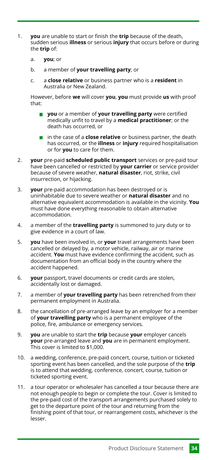- **you** are unable to start or finish the **trip** because of the death, sudden serious **illness** or serious **injury** that occurs before or during the **trip** of: 1.
	- **you**; or a.
	- a member of **your travelling party**; or b.
	- a **close relative** or business partner who is a **resident** in Australia or New Zealand. c.

However, before **we** will cover **you**, **you** must provide **us** with proof that:

- **you** or a member of **your travelling party** were certified medically unfit to travel by a **medical practitioner**; or the death has occurred, or
- in the case of a **close relative** or business partner, the death has occurred, or the **illness** or **injury** required hospitalisation or for **you** to care for them.
- **your** pre-paid **scheduled public transport** services or pre-paid tour have been cancelled or restricted by **your carrier** or service provider because of severe weather, **natural disaster**, riot, strike, civil insurrection, or hijacking. 2.
- **your** pre-paid accommodation has been destroyed or is uninhabitable due to severe weather or **natural disaster** and no alternative equivalent accommodation is available in the vicinity. **You** must have done everything reasonable to obtain alternative accommodation. 3.
- a member of the **travelling party** is summoned to jury duty or to give evidence in a court of law. 4.
- **you** have been involved in, or **your** travel arrangements have been cancelled or delayed by, a motor vehicle, railway, air or marine accident. **You** must have evidence confirming the accident, such as documentation from an official body in the country where the accident happened. 5.
- **your** passport, travel documents or credit cards are stolen, accidentally lost or damaged. 6.
- a member of **your travelling party** has been retrenched from their permanent employment in Australia. 7.
- the cancellation of pre-arranged leave by an employer for a member of **your travelling party** who is a permanent employee of the police, fire, ambulance or emergency services. 8.
- **you** are unable to start the **trip** because **your** employer cancels **your** pre-arranged leave and **you** are in permanent employment. This cover is limited to \$1,000. 9.
- 10. a wedding, conference, pre-paid concert, course, tuition or ticketed sporting event has been cancelled, and the sole purpose of the **trip** is to attend that wedding, conference, concert, course, tuition or ticketed sporting event.
- a tour operator or wholesaler has cancelled a tour because there are not enough people to begin or complete the tour. Cover is limited to the pre-paid cost of the transport arrangements purchased solely to get to the departure point of the tour and returning from the finishing point of that tour, or rearrangement costs, whichever is the lesser. 11.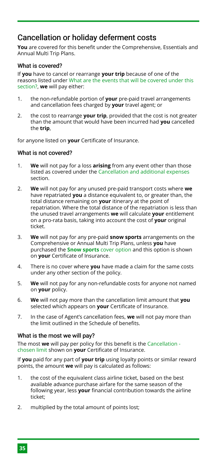# <span id="page-35-0"></span>Cancellation or holiday deferment costs

**You** are covered for this benefit under the Comprehensive, Essentials and Annual Multi Trip Plans.

#### What is covered?

If **you** have to cancel or rearrange **your trip** because of one of the reasons listed under [What are the events that will be covered under this](#page-33-2) [section?](#page-33-2), **we** will pay either:

- the non-refundable portion of **your** pre-paid travel arrangements and cancellation fees charged by **your** travel agent; or 1.
- the cost to rearrange **your trip**, provided that the cost is not greater than the amount that would have been incurred had **you** cancelled the **trip**,  $\mathcal{L}$

for anyone listed on **your** Certificate of Insurance.

#### What is not covered?

- **We** will not pay for a loss **arising** from any event other than those listed as covered under the [Cancellation and additional expenses](#page-33-1) section. 1.
- **We** will not pay for any unused pre-paid transport costs where **we** have repatriated **you** a distance equivalent to, or greater than, the total distance remaining on **your** itinerary at the point of repatriation. Where the total distance of the repatriation is less than the unused travel arrangements **we** will calculate **your** entitlement on a pro-rata basis, taking into account the cost of **your** original ticket.  $\mathcal{L}$
- **We** will not pay for any pre-paid **snow sports** arrangements on the Comprehensive or Annual Multi Trip Plans, unless **you** have purchased the **[Snow sports](#page-5-0)** cover option and this option is shown on **your** Certificate of Insurance. 3.
- There is no cover where **you** have made a claim for the same costs under any other section of the policy. 4.
- **We** will not pay for any non-refundable costs for anyone not named on **your** policy. 5.
- **We** will not pay more than the cancellation limit amount that **you** selected which appears on **your** Certificate of Insurance. 6.
- In the case of Agent's cancellation fees, **we** will not pay more than the limit outlined in the Schedule of benefits. 7.

#### What is the most we will pay?

The most **we** will pay per policy for this benefit is the [Cancellation](#page-5-2)  [chosen limit](#page-5-2) shown on **your** Certificate of Insurance.

If **you** paid for any part of **your trip** using loyalty points or similar reward points, the amount **we** will pay is calculated as follows:

- the cost of the equivalent class airline ticket, based on the best available advance purchase airfare for the same season of the following year, less **your** financial contribution towards the airline ticket; 1.
- multiplied by the total amount of points lost; 2.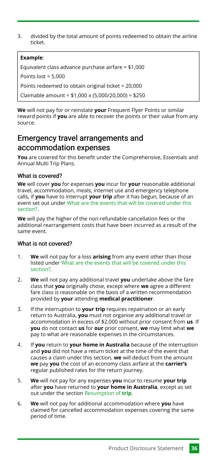divided by the total amount of points redeemed to obtain the airline ticket. 3.

#### **Example**:

Equivalent class advance purchase airfare = \$1,000

Points  $lost = 5,000$ 

Points redeemed to obtain original ticket = 20,000

Claimable amount = \$1,000 x (5,000/20,000) = \$250

**We** will not pay for or reinstate **your** Frequent Flyer Points or similar reward points if **you** are able to recover the points or their value from any source.

# Emergency travel arrangements and accommodation expenses

**You** are covered for this benefit under the Comprehensive, Essentials and Annual Multi Trip Plans.

#### What is covered?

**We** will cover **you** for expenses **you** incur for **your** reasonable additional travel, accommodation, meals, internet use and emergency telephone calls, if **you** have to interrupt **your trip** after it has begun, because of an event set out under [What are the events that will be covered under this](#page-33-2) [section?](#page-33-2).

**We** will pay the higher of the non-refundable cancellation fees or the additional rearrangement costs that have been incurred as a result of the same event.

#### What is not covered?

- **We** will not pay for a loss **arising** from any event other than those listed under [What are the events that will be covered under this](#page-33-2) [section?](#page-33-2). 1.
- **We** will not pay any additional travel **you** undertake above the fare class that **you** originally chose, except where **we** agree a different fare class is reasonable on the basis of a written recommendation provided by **your** attending **medical practitioner**. 2.
- If the interruption to **your trip** requires repatriation or an early return to Australia, **you** must not organise any additional travel or accommodation in excess of \$2,000 without prior consent from **us**. If **you** do not contact **us** for **our** prior consent, **we** may limit what **we** pay to what are reasonable expenses in the circumstances. 3.
- If **you** return to **your home in Australia** because of the interruption and **you** did not have a return ticket at the time of the event that causes a claim under this section, **we** will deduct from the amount **we** pay **you** the cost of an economy class airfare at the **carrier's** regular published rates for the return journey. 4.
- **We** will not pay for any expenses **you** incur to resume **your trip** after **you** have returned to **your home in Australia**, except as set out under the section [Resumption of](#page-42-0) **trip**. 5.
- **We** will not pay for additional accommodation where **you** have claimed for cancelled accommodation expenses covering the same period of time. 6.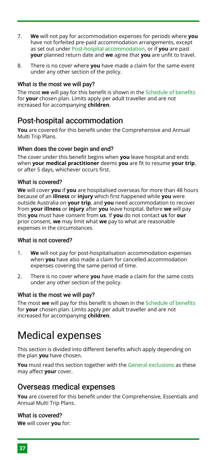- **We** will not pay for accommodation expenses for periods where **you** have not forfeited pre-paid accommodation arrangements, except as set out under [Post-hospital accommodation,](#page-37-1) or if **you** are past **your** planned return date and **we** agree that **you** are unfit to travel. 7.
- There is no cover where **you** have made a claim for the same event under any other section of the policy. 8.

#### What is the most we will pay?

The most **we** will pay for this benefit is shown in the [Schedule of benefits](#page-15-0) for **your** chosen plan. Limits apply per adult traveller and are not increased for accompanying **children**.

### <span id="page-37-1"></span>Post-hospital accommodation

**You** are covered for this benefit under the Comprehensive and Annual Multi Trip Plans.

#### When does the cover begin and end?

The cover under this benefit begins when **you** leave hospital and ends when **your medical practitioner** deems **you** are fit to resume **your trip**, or after 5 days, whichever occurs first.

#### What is covered?

**We** will cover **you** if **you** are hospitalised overseas for more than 48 hours because of an **illness** or **injury** which first happened while **you** were outside Australia on **your trip**, and **you** need accommodation to recover from **your illness** or **injury** after **you** leave hospital. Before **we** will pay this **you** must have consent from **us**. If **you** do not contact **us** for **our** prior consent, **we** may limit what **we** pay to what are reasonable expenses in the circumstances.

#### What is not covered?

- **We** will not pay for post-hospitalisation accommodation expenses when **you** have also made a claim for cancelled accommodation expenses covering the same period of time. 1.
- There is no cover where **you** have made a claim for the same costs under any other section of the policy. 2.

#### What is the most we will pay?

The most **we** will pay for this benefit is shown in the [Schedule of benefits](#page-15-0) for **your** chosen plan. Limits apply per adult traveller and are not increased for accompanying **children**.

# <span id="page-37-0"></span>Medical expenses

This section is divided into different benefits which apply depending on the plan **you** have chosen.

**You** must read this section together with the [General exclusions](#page-55-0) as these may affect **your** cover.

#### <span id="page-37-2"></span>Overseas medical expenses

**You** are covered for this benefit under the Comprehensive, Essentials and Annual Multi Trip Plans.

#### What is covered?

**We** will cover **you** for: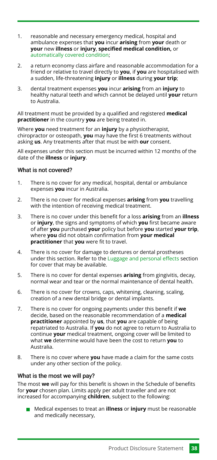- reasonable and necessary emergency medical, hospital and ambulance expenses that **you** incur **arising** from **your** death or **your** new **illness** or **injury**, **specified medical condition,** or [automatically covered condition;](#page-28-0) 1.
- a return economy class airfare and reasonable accommodation for a friend or relative to travel directly to **you**, if **you** are hospitalised with a sudden, life-threatening **injury** or **illness** during **your trip**; 2.
- dental treatment expenses **you** incur **arising** from an **injury** to healthy natural teeth and which cannot be delayed until **your** return to Australia. 3.

All treatment must be provided by a qualified and registered **medical practitioner** in the country **you** are being treated in.

Where **you** need treatment for an **injury** by a physiotherapist, chiropractor or osteopath, **you** may have the first 6 treatments without asking **us**. Any treatments after that must be with **our** consent.

All expenses under this section must be incurred within 12 months of the date of the **illness** or **injury**.

#### What is not covered?

- There is no cover for any medical, hospital, dental or ambulance expenses **you** incur in Australia. 1.
- There is no cover for medical expenses **arising** from **you** travelling with the intention of receiving medical treatment. 2.
- There is no cover under this benefit for a loss **arising** from an **illness** or **injury**, the signs and symptoms of which **you** first became aware of after **you** purchased **your** policy but before **you** started **your trip**, where **you** did not obtain confirmation from **your medical practitioner** that **you** were fit to travel. 3.
- There is no cover for damage to dentures or dental prostheses under this section. Refer to the [Luggage and personal effects](#page-45-1) section for cover that may be available. 4.
- There is no cover for dental expenses **arising** from gingivitis, decay, normal wear and tear or the normal maintenance of dental health. 5.
- There is no cover for crowns, caps, whitening, cleaning, scaling, creation of a new dental bridge or dental implants. 6.
- There is no cover for ongoing payments under this benefit if **we** decide, based on the reasonable recommendation of a **medical practitioner** appointed by **us**, that **you** are capable of being repatriated to Australia. If **you** do not agree to return to Australia to continue **your** medical treatment, ongoing cover will be limited to what **we** determine would have been the cost to return **you** to Australia. 7.
- There is no cover where **you** have made a claim for the same costs under any other section of the policy. 8.

#### What is the most we will pay?

The most **we** will pay for this benefit is shown in the Schedule of benefits for **your** chosen plan. Limits apply per adult traveller and are not increased for accompanying **children**, subject to the following:

Medical expenses to treat an **illness** or **injury** must be reasonable and medically necessary,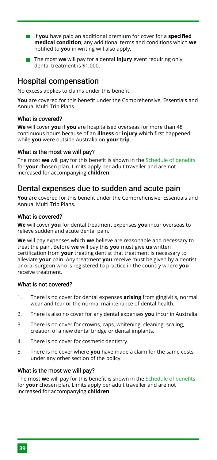- If **you** have paid an additional premium for cover for a **specified medical condition**, any additional terms and conditions which **we** notified to **you** in writing will also apply,
- The most **we** will pay for a dental **injury** event requiring only dental treatment is \$1,000.

### <span id="page-39-0"></span>Hospital compensation

No excess applies to claims under this benefit.

**You** are covered for this benefit under the Comprehensive, Essentials and Annual Multi Trip Plans.

#### What is covered?

**We** will cover **you** if **you** are hospitalised overseas for more than 48 continuous hours because of an **illness** or **injury** which first happened while **you** were outside Australia on **your trip**.

#### What is the most we will pay?

The most **we** will pay for this benefit is shown in the [Schedule of benefits](#page-15-0) for **your** chosen plan. Limits apply per adult traveller and are not increased for accompanying **children**.

### Dental expenses due to sudden and acute pain

**You** are covered for this benefit under the Comprehensive, Essentials and Annual Multi Trip Plans.

#### What is covered?

**We** will cover **you** for dental treatment expenses **you** incur overseas to relieve sudden and acute dental pain.

**We** will pay expenses which **we** believe are reasonable and necessary to treat the pain. Before **we** will pay this **you** must give **us** written certification from **your** treating dentist that treatment is necessary to alleviate **your** pain. Any treatment **you** receive must be given by a dentist or oral surgeon who is registered to practice in the country where **you** receive treatment.

#### What is not covered?

- There is no cover for dental expenses **arising** from gingivitis, normal wear and tear or the normal maintenance of dental health. 1.
- There is also no cover for any dental expenses **you** incur in Australia. 2.
- There is no cover for crowns, caps, whitening, cleaning, scaling, creation of a new dental bridge or dental implants. 3.
- There is no cover for cosmetic dentistry. 4.
- There is no cover where **you** have made a claim for the same costs under any other section of the policy. 5.

#### What is the most we will pay?

The most **we** will pay for this benefit is shown in the [Schedule of benefits](#page-15-0) for **your** chosen plan. Limits apply per adult traveller and are not increased for accompanying **children**.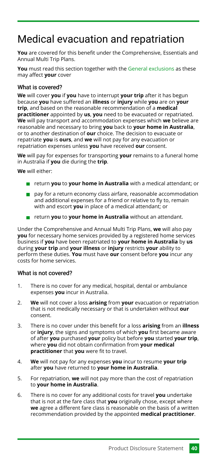# <span id="page-40-0"></span>Medical evacuation and repatriation

**You** are covered for this benefit under the Comprehensive, Essentials and Annual Multi Trip Plans.

**You** must read this section together with the [General exclusions](#page-55-0) as these may affect **your** cover

#### What is covered?

**We** will cover **you** if **you** have to interrupt **your trip** after it has begun because **you** have suffered an **illness** or **injury** while **you** are on **your trip**, and based on the reasonable recommendation of a **medical practitioner** appointed by **us**, **you** need to be evacuated or repatriated. **We** will pay transport and accommodation expenses which **we** believe are reasonable and necessary to bring **you** back to **your home in Australia**, or to another destination of **our** choice. The decision to evacuate or repatriate **you** is **ours**, and **we** will not pay for any evacuation or repatriation expenses unless **you** have received **our** consent.

**We** will pay for expenses for transporting **your** remains to a funeral home in Australia if **you** die during the **trip**.

**We** will either:

- return **you** to **your home in Australia** with a medical attendant; or
- pay for a return economy class airfare, reasonable accommodation and additional expenses for a friend or relative to fly to, remain with and escort **you** in place of a medical attendant; or
- return **you** to **your home in Australia** without an attendant.

Under the Comprehensive and Annual Multi Trip Plans, **we** will also pay **you** for necessary home services provided by a registered home services business if **you** have been repatriated to **your home in Australia** by **us** during **your trip** and **your illness** or **injury** restricts **your** ability to perform these duties. **You** must have **our** consent before **you** incur any costs for home services.

#### What is not covered?

- There is no cover for any medical, hospital, dental or ambulance expenses **you** incur in Australia. 1.
- **We** will not cover a loss **arising** from **your** evacuation or repatriation that is not medically necessary or that is undertaken without **our** consent. 2.
- There is no cover under this benefit for a loss **arising** from an **illness** or **injury**, the signs and symptoms of which **you** first became aware of after **you** purchased **your** policy but before **you** started **your trip**, where **you** did not obtain confirmation from **your medical practitioner** that **you** were fit to travel. 3.
- **We** will not pay for any expenses **you** incur to resume **your trip** after **you** have returned to **your home in Australia**. 4.
- For repatriation, **we** will not pay more than the cost of repatriation to **your home in Australia**. 5.
- There is no cover for any additional costs for travel **you** undertake that is not at the fare class that **you** originally chose, except where **we** agree a different fare class is reasonable on the basis of a written recommendation provided by the appointed **medical practitioner**. 6.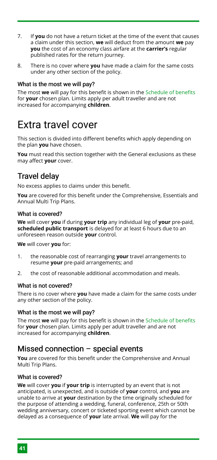- If **you** do not have a return ticket at the time of the event that causes a claim under this section, **we** will deduct from the amount **we** pay **you** the cost of an economy class airfare at the **carrier's** regular published rates for the return journey. 7.
- There is no cover where **you** have made a claim for the same costs under any other section of the policy. 8.

#### What is the most we will pay?

The most **we** will pay for this benefit is shown in the [Schedule of benefits](#page-15-0) for **your** chosen plan. Limits apply per adult traveller and are not increased for accompanying **children**.

# <span id="page-41-0"></span>Extra travel cover

This section is divided into different benefits which apply depending on the plan **you** have chosen.

**You** must read this section together with the General exclusions as these may affect **your** cover.

### <span id="page-41-1"></span>Travel delay

No excess applies to claims under this benefit.

**You** are covered for this benefit under the Comprehensive, Essentials and Annual Multi Trip Plans.

#### What is covered?

**We** will cover **you** if during **your trip** any individual leg of **your** pre-paid, **scheduled public transport** is delayed for at least 6 hours due to an unforeseen reason outside **your** control.

**We** will cover **you** for:

- the reasonable cost of rearranging **your** travel arrangements to resume **your** pre-paid arrangements; and 1.
- the cost of reasonable additional accommodation and meals. 2.

#### What is not covered?

There is no cover where **you** have made a claim for the same costs under any other section of the policy.

#### What is the most we will pay?

The most **we** will pay for this benefit is shown in the [Schedule of benefits](#page-15-0) for **your** chosen plan. Limits apply per adult traveller and are not increased for accompanying **children**.

### <span id="page-41-2"></span>Missed connection – special events

**You** are covered for this benefit under the Comprehensive and Annual Multi Trip Plans.

#### What is covered?

**We** will cover **you** if **your trip** is interrupted by an event that is not anticipated, is unexpected, and is outside of **your** control, and **you** are unable to arrive at **your** destination by the time originally scheduled for the purpose of attending a wedding, funeral, conference, 25th or 50th wedding anniversary, concert or ticketed sporting event which cannot be delayed as a consequence of **your** late arrival. **We** will pay for the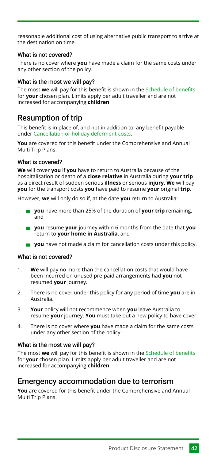reasonable additional cost of using alternative public transport to arrive at the destination on time.

#### What is not covered?

There is no cover where **you** have made a claim for the same costs under any other section of the policy.

#### What is the most we will pay?

The most **we** will pay for this benefit is shown in the [Schedule of benefits](#page-15-0) for **your** chosen plan. Limits apply per adult traveller and are not increased for accompanying **children**.

# <span id="page-42-0"></span>Resumption of trip

This benefit is in place of, and not in addition to, any benefit payable under [Cancellation or holiday deferment costs](#page-35-0).

**You** are covered for this benefit under the Comprehensive and Annual Multi Trip Plans.

#### What is covered?

**We** will cover **you** if **you** have to return to Australia because of the hospitalisation or death of a **close relative** in Australia during **your trip** as a direct result of sudden serious **illness** or serious **injury**. **We** will pay **you** for the transport costs **you** have paid to resume **your** original **trip**.

However, **we** will only do so if, at the date **you** return to Australia:

- **you** have more than 25% of the duration of **your trip** remaining, and
- **you** resume **your** journey within 6 months from the date that **you** return to **your home in Australia**, and
- **you** have not made a claim for cancellation costs under this policy.

#### What is not covered?

- **We** will pay no more than the cancellation costs that would have been incurred on unused pre-paid arrangements had **you** not resumed **your** journey. 1.
- There is no cover under this policy for any period of time **you** are in Australia. 2.
- **Your** policy will not recommence when **you** leave Australia to resume **your** journey. **You** must take out a new policy to have cover. 3.
- There is no cover where **you** have made a claim for the same costs under any other section of the policy. 4.

#### What is the most we will pay?

The most **we** will pay for this benefit is shown in the [Schedule of benefits](#page-15-0) for **your** chosen plan. Limits apply per adult traveller and are not increased for accompanying **children**.

### <span id="page-42-1"></span>Emergency accommodation due to terrorism

**You** are covered for this benefit under the Comprehensive and Annual Multi Trip Plans.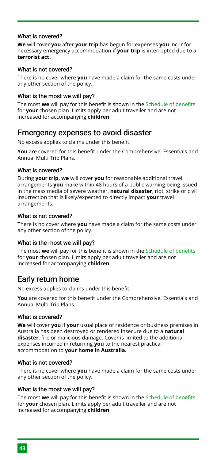#### What is covered?

**We** will cover **you** after **your trip** has begun for expenses **you** incur for necessary emergency accommodation if **your trip** is interrupted due to a **terrorist act.**

#### What is not covered?

There is no cover where **you** have made a claim for the same costs under any other section of the policy.

#### What is the most we will pay?

The most **we** will pay for this benefit is shown in the [Schedule of benefits](#page-15-0) for **your** chosen plan. Limits apply per adult traveller and are not increased for accompanying **children**.

#### <span id="page-43-0"></span>Emergency expenses to avoid disaster

No excess applies to claims under this benefit.

**You** are covered for this benefit under the Comprehensive, Essentials and Annual Multi Trip Plans.

#### What is covered?

During **your trip, we** will cover **you** for reasonable additional travel arrangements **you** make within 48 hours of a public warning being issued in the mass media of severe weather, **natural disaster**, riot, strike or civil insurrection that is likely/expected to directly impact **your** travel arrangements.

#### What is not covered?

There is no cover where **you** have made a claim for the same costs under any other section of the policy.

#### What is the most we will pay?

The most **we** will pay for this benefit is shown in the [Schedule of benefits](#page-15-0) for **your** chosen plan. Limits apply per adult traveller and are not increased for accompanying **children**.

### Early return home

No excess applies to claims under this benefit.

**You** are covered for this benefit under the Comprehensive, Essentials and Annual Multi Trip Plans.

#### What is covered?

**We** will cover **you** if **your** usual place of residence or business premises in Australia has been destroyed or rendered insecure due to a **natural disaster**, fire or malicious damage. Cover is limited to the additional expenses incurred in returning **you** to the nearest practical accommodation to **your home in Australia.**

#### What is not covered?

There is no cover where **you** have made a claim for the same costs under any other section of the policy.

#### What is the most we will pay?

The most **we** will pay for this benefit is shown in the [Schedule of benefits](#page-15-0) for **your** chosen plan. Limits apply per adult traveller and are not increased for accompanying **children**.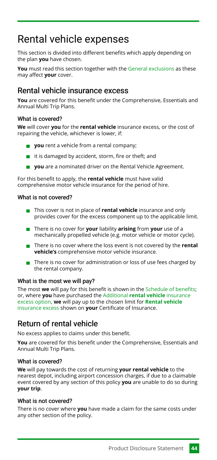# <span id="page-44-0"></span>Rental vehicle expenses

This section is divided into different benefits which apply depending on the plan **you** have chosen.

**You** must read this section together with the [General exclusions](#page-55-0) as these may affect **your** cover.

# <span id="page-44-1"></span>Rental vehicle insurance excess

**You** are covered for this benefit under the Comprehensive, Essentials and Annual Multi Trip Plans.

#### What is covered?

**We** will cover **you** for the **rental vehicle** insurance excess, or the cost of repairing the vehicle, whichever is lower, if:

- **you** rent a vehicle from a rental company;
- $\blacksquare$  it is damaged by accident, storm, fire or theft; and
- **you** are a nominated driver on the Rental Vehicle Agreement.

For this benefit to apply, the **rental vehicle** must have valid comprehensive motor vehicle insurance for the period of hire.

#### What is not covered?

- **This cover is not in place of rental vehicle** insurance and only provides cover for the excess component up to the applicable limit.
- There is no cover for **your** liability **arising** from **your** use of a mechanically propelled vehicle (e.g. motor vehicle or motor cycle).
- There is no cover where the loss event is not covered by the **rental vehicle's** comprehensive motor vehicle insurance.
- $\blacksquare$  There is no cover for administration or loss of use fees charged by the rental company.

#### What is the most we will pay?

The most **we** will pay for this benefit is shown in the [Schedule of benefits;](#page-15-0) or, where **you** have purchased the Additional **[rental vehicle](#page-6-0)** insurance [excess option](#page-6-0), **we** will pay up to the chosen limit for **[Rental vehicle](#page-44-1)** [insurance excess](#page-44-1) shown on **your** Certificate of Insurance.

# Return of rental vehicle

No excess applies to claims under this benefit.

**You** are covered for this benefit under the Comprehensive, Essentials and Annual Multi Trip Plans.

#### What is covered?

**We** will pay towards the cost of returning **your rental vehicle** to the nearest depot, including airport concession charges, if due to a claimable event covered by any section of this policy **you** are unable to do so during **your trip**.

#### What is not covered?

There is no cover where **you** have made a claim for the same costs under any other section of the policy.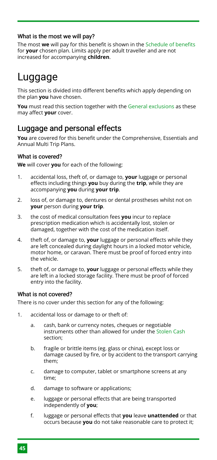#### What is the most we will pay?

The most **we** will pay for this benefit is shown in the [Schedule of benefits](#page-15-0) for **your** chosen plan. Limits apply per adult traveller and are not increased for accompanying **children**.

# <span id="page-45-0"></span>Luggage

This section is divided into different benefits which apply depending on the plan **you** have chosen.

**You** must read this section together with the [General exclusions](#page-55-0) as these may affect **your** cover.

# <span id="page-45-1"></span>Luggage and personal effects

**You** are covered for this benefit under the Comprehensive, Essentials and Annual Multi Trip Plans.

#### What is covered?

**We** will cover **you** for each of the following:

- accidental loss, theft of, or damage to, **your** luggage or personal effects including things **you** buy during the **trip**, while they are accompanying **you** during **your trip**. 1.
- loss of, or damage to, dentures or dental prostheses whilst not on **your** person during **your trip**. 2.
- the cost of medical consultation fees **you** incur to replace prescription medication which is accidentally lost, stolen or damaged, together with the cost of the medication itself. 3.
- theft of, or damage to, **your** luggage or personal effects while they are left concealed during daylight hours in a locked motor vehicle, motor home, or caravan. There must be proof of forced entry into the vehicle. 4.
- theft of, or damage to, **your** luggage or personal effects while they are left in a locked storage facility. There must be proof of forced entry into the facility. 5.

#### What is not covered?

There is no cover under this section for any of the following:

- accidental loss or damage to or theft of: 1.
	- cash, bank or currency notes, cheques or negotiable instruments other than allowed for under the [Stolen Cash](#page-48-0) section; a.
	- fragile or brittle items (eg. glass or china), except loss or damage caused by fire, or by accident to the transport carrying them; b.
	- damage to computer, tablet or smartphone screens at any time; c.
	- damage to software or applications; d.
	- luggage or personal effects that are being transported independently of **you**; e.
	- luggage or personal effects that **you** leave **unattended** or that occurs because **you** do not take reasonable care to protect it; f.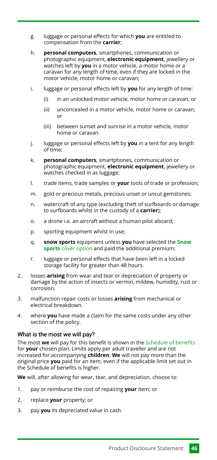- luggage or personal effects for which **you** are entitled to compensation from the **carrier**; g.
- **personal computers**, smartphones, communication or photographic equipment, **electronic equipment**, jewellery or watches left by **you** in a motor vehicle, a motor home or a caravan for any length of time, even if they are locked in the motor vehicle, motor home or caravan; h.
- luggage or personal effects left by **you** for any length of time: i.
	- in an unlocked motor vehicle, motor home or caravan; or (i)
	- unconcealed in a motor vehicle, motor home or caravan; or (ii)
	- between sunset and sunrise in a motor vehicle, motor home or caravan. (iii)
- luggage or personal effects left by **you** in a tent for any length of time; j.
- **personal computers**, smartphones, communication or photographic equipment, **electronic equipment**, jewellery or watches checked in as luggage; k.
- trade items, trade samples or **your** tools of trade or profession; l.
- gold or precious metals, precious unset or uncut gemstones; m.
- watercraft of any type (excluding theft of surfboards or damage to surfboards whilst in the custody of a **carrier**); n.
- a drone i.e. an aircraft without a human pilot aboard; o.
- sporting equipment whilst in use; p.
- **snow sports** equipment unless **you** have selected the **[Snow](#page-5-0) sports** [cover option](#page-5-0) and paid the additional premium; q.
- luggage or personal effects that have been left in a locked storage facility for greater than 48 hours. r.
- losses **arising** from wear and tear or depreciation of property or damage by the action of insects or vermin, mildew, humidity, rust or corrosion. 2.
- malfunction repair costs or losses **arising** from mechanical or electrical breakdown. 3.
- where **you** have made a claim for the same costs under any other section of the policy. 4.

#### What is the most we will pay?

The most **we** will pay for this benefit is shown in the [Schedule of benefits](#page-15-0) for **your** chosen plan. Limits apply per adult traveller and are not increased for accompanying **children**. **We** will not pay more than the original price **you** paid for an item, even if the applicable limit set out in the Schedule of benefits is higher.

**We** will, after allowing for wear, tear, and depreciation, choose to:

- pay or reimburse the cost of repairing **your** item; or 1.
- replace **your** property; or 2.
- pay **you** its depreciated value in cash. 3.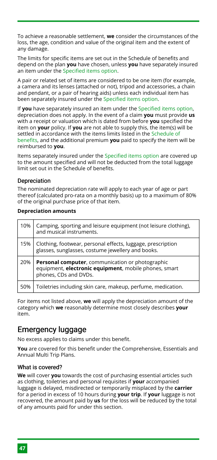To achieve a reasonable settlement, **we** consider the circumstances of the loss, the age, condition and value of the original item and the extent of any damage.

The limits for specific items are set out in the Schedule of benefits and depend on the plan **you** have chosen, unless **you** have separately insured an item under the [Specified items option.](#page-6-1)

A pair or related set of items are considered to be one item (for example, a camera and its lenses (attached or not), tripod and accessories, a chain and pendant, or a pair of hearing aids) unless each individual item has been separately insured under the [Specified items option](#page-6-1).

If **you** have separately insured an item under the [Specified items option,](#page-6-1) depreciation does not apply. In the event of a claim **you** must provide **us** with a receipt or valuation which is dated from before **you** specified the item on **your** policy. If **you** are not able to supply this, the item(s) will be settled in accordance with the items limits listed in the [Schedule of](#page-15-0) [benefits](#page-15-0), and the additional premium **you** paid to specify the item will be reimbursed to **you**.

Items separately insured under the [Specified items option](#page-6-1) are covered up to the amount specified and will not be deducted from the total luggage limit set out in the Schedule of benefits.

#### Depreciation

The nominated depreciation rate will apply to each year of age or part thereof (calculated pro-rata on a monthly basis) up to a maximum of 80% of the original purchase price of that item.

#### **Depreciation amounts**

| 10% | Camping, sporting and leisure equipment (not leisure clothing),<br>and musical instruments.                                        |
|-----|------------------------------------------------------------------------------------------------------------------------------------|
| 15% | Clothing, footwear, personal effects, luggage, prescription<br>glasses, sunglasses, costume jewellery and books.                   |
|     |                                                                                                                                    |
| 20% | Personal computer, communication or photographic<br>equipment, electronic equipment, mobile phones, smart<br>phones, CDs and DVDs. |

For items not listed above, **we** will apply the depreciation amount of the category which **we** reasonably determine most closely describes **your** item.

### Emergency luggage

No excess applies to claims under this benefit.

**You** are covered for this benefit under the Comprehensive, Essentials and Annual Multi Trip Plans.

#### What is covered?

**We** will cover **you** towards the cost of purchasing essential articles such as clothing, toiletries and personal requisites if **your** accompanied luggage is delayed, misdirected or temporarily misplaced by the **carrier** for a period in excess of 10 hours during **your trip**. If **your** luggage is not recovered, the amount paid by **us** for the loss will be reduced by the total of any amounts paid for under this section.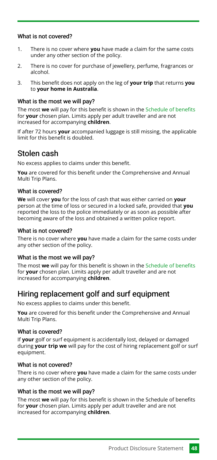#### What is not covered?

- There is no cover where **you** have made a claim for the same costs under any other section of the policy. 1.
- There is no cover for purchase of jewellery, perfume, fragrances or alcohol. 2.
- This benefit does not apply on the leg of **your trip** that returns **you** to **your home in Australia**. 3.

#### What is the most we will pay?

The most **we** will pay for this benefit is shown in the [Schedule of benefits](#page-15-0) for **your** chosen plan. Limits apply per adult traveller and are not increased for accompanying **children**.

If after 72 hours **your** accompanied luggage is still missing, the applicable limit for this benefit is doubled.

### <span id="page-48-0"></span>Stolen cash

No excess applies to claims under this benefit.

**You** are covered for this benefit under the Comprehensive and Annual Multi Trip Plans.

#### What is covered?

**We** will cover **you** for the loss of cash that was either carried on **your** person at the time of loss or secured in a locked safe, provided that **you** reported the loss to the police immediately or as soon as possible after becoming aware of the loss and obtained a written police report.

#### What is not covered?

There is no cover where **you** have made a claim for the same costs under any other section of the policy.

#### What is the most we will pay?

The most **we** will pay for this benefit is shown in the [Schedule of benefits](#page-15-0) for **your** chosen plan. Limits apply per adult traveller and are not increased for accompanying **children**.

### Hiring replacement golf and surf equipment

No excess applies to claims under this benefit.

**You** are covered for this benefit under the Comprehensive and Annual Multi Trip Plans.

#### What is covered?

If **your** golf or surf equipment is accidentally lost, delayed or damaged during **your trip we** will pay for the cost of hiring replacement golf or surf equipment.

#### What is not covered?

There is no cover where **you** have made a claim for the same costs under any other section of the policy.

#### What is the most we will pay?

The most **we** will pay for this benefit is shown in the Schedule of benefits for **your** chosen plan. Limits apply per adult traveller and are not increased for accompanying **children**.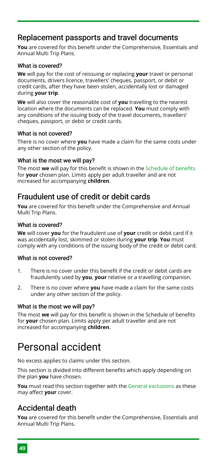# Replacement passports and travel documents

**You** are covered for this benefit under the Comprehensive, Essentials and Annual Multi Trip Plans.

#### What is covered?

**We** will pay for the cost of reissuing or replacing **your** travel or personal documents, drivers licence, travellers' cheques, passport, or debit or credit cards, after they have been stolen, accidentally lost or damaged during **your trip**.

**We** will also cover the reasonable cost of **you** travelling to the nearest location where the documents can be replaced. **You** must comply with any conditions of the issuing body of the travel documents, travellers' cheques, passport, or debit or credit cards.

#### What is not covered?

There is no cover where **you** have made a claim for the same costs under any other section of the policy.

#### What is the most we will pay?

The most **we** will pay for this benefit is shown in the [Schedule of benefits](#page-15-0) for **your** chosen plan. Limits apply per adult traveller and are not increased for accompanying **children**.

# Fraudulent use of credit or debit cards

**You** are covered for this benefit under the Comprehensive and Annual Multi Trip Plans.

#### What is covered?

**We** will cover **you** for the fraudulent use of **your** credit or debit card if it was accidentally lost, skimmed or stolen during **your trip**. **You** must comply with any conditions of the issuing body of the credit or debit card.

#### What is not covered?

- There is no cover under this benefit if the credit or debit cards are fraudulently used by **you**, **your** relative or a travelling companion. 1.
- There is no cover where **you** have made a claim for the same costs under any other section of the policy. 2.

#### What is the most we will pay?

The most **we** will pay for this benefit is shown in the Schedule of benefits for **your** chosen plan. Limits apply per adult traveller and are not increased for accompanying **children**.

# <span id="page-49-0"></span>Personal accident

No excess applies to claims under this section.

This section is divided into different benefits which apply depending on the plan **you** have chosen.

**You** must read this section together with the [General exclusions](#page-55-0) as these may affect **your** cover.

# Accidental death

**You** are covered for this benefit under the Comprehensive, Essentials and Annual Multi Trip Plans.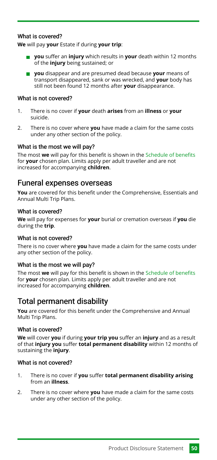#### What is covered?

**We** will pay **your** Estate if during **your trip**:

- **you** suffer an **injury** which results in **your** death within 12 months of the **injury** being sustained; or
- **you** disappear and are presumed dead because **your** means of transport disappeared, sank or was wrecked, and **your** body has still not been found 12 months after **your** disappearance.

#### What is not covered?

- There is no cover if **your** death **arises** from an **illness** or **your** suicide. 1.
- There is no cover where **you** have made a claim for the same costs under any other section of the policy.  $\mathcal{L}$

#### What is the most we will pay?

The most **we** will pay for this benefit is shown in the [Schedule of benefits](#page-15-0) for **your** chosen plan. Limits apply per adult traveller and are not increased for accompanying **children**.

#### <span id="page-50-0"></span>Funeral expenses overseas

**You** are covered for this benefit under the Comprehensive, Essentials and Annual Multi Trip Plans.

#### What is covered?

**We** will pay for expenses for **your** burial or cremation overseas if **you** die during the **trip**.

#### What is not covered?

There is no cover where **you** have made a claim for the same costs under any other section of the policy.

#### What is the most we will pay?

The most **we** will pay for this benefit is shown in the [Schedule of benefits](#page-15-0) for **your** chosen plan. Limits apply per adult traveller and are not increased for accompanying **children**.

### Total permanent disability

**You** are covered for this benefit under the Comprehensive and Annual Multi Trip Plans.

#### What is covered?

**We** will cover **you** if during **your trip you** suffer an **injury** and as a result of that **injury you** suffer **total permanent disability** within 12 months of sustaining the **injury**.

#### What is not covered?

- There is no cover if **you** suffer **total permanent disability arising** from an **illness**. 1.
- There is no cover where **you** have made a claim for the same costs under any other section of the policy.  $\mathcal{L}$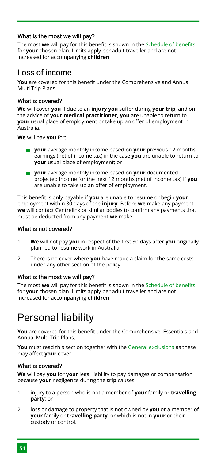#### What is the most we will pay?

The most **we** will pay for this benefit is shown in the [Schedule of benefits](#page-15-0) for **your** chosen plan. Limits apply per adult traveller and are not increased for accompanying **children**.

# Loss of income

**You** are covered for this benefit under the Comprehensive and Annual Multi Trip Plans.

#### What is covered?

**We** will cover **you** if due to an **injury you** suffer during **your trip**, and on the advice of **your medical practitioner**, **you** are unable to return to **your** usual place of employment or take up an offer of employment in Australia.

**We** will pay **you** for:

- **your** average monthly income based on **your** previous 12 months earnings (net of income tax) in the case **you** are unable to return to **your** usual place of employment; or
- **your** average monthly income based on **your** documented projected income for the next 12 months (net of income tax) if **you** are unable to take up an offer of employment.

This benefit is only payable if **you** are unable to resume or begin **your** employment within 30 days of the **injury**. Before **we** make any payment **we** will contact Centrelink or similar bodies to confirm any payments that must be deducted from any payment **we** make.

#### What is not covered?

- **We** will not pay **you** in respect of the first 30 days after **you** originally planned to resume work in Australia. 1.
- There is no cover where **you** have made a claim for the same costs under any other section of the policy.  $\mathcal{L}$

#### What is the most we will pay?

The most **we** will pay for this benefit is shown in the [Schedule of benefits](#page-15-0) for **your** chosen plan. Limits apply per adult traveller and are not increased for accompanying **children**.

# <span id="page-51-0"></span>Personal liability

**You** are covered for this benefit under the Comprehensive, Essentials and Annual Multi Trip Plans.

**You** must read this section together with the [General exclusions](#page-55-0) as these may affect **your** cover.

#### What is covered?

**We** will pay **you** for **your** legal liability to pay damages or compensation because **your** negligence during the **trip** causes:

- injury to a person who is not a member of **your** family or **travelling party**; or 1.
- loss or damage to property that is not owned by **you** or a member of **your** family or **travelling party**, or which is not in **your** or their custody or control.  $\mathcal{L}$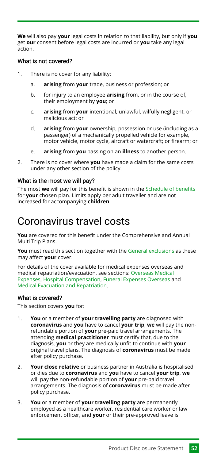**We** will also pay **your** legal costs in relation to that liability, but only if **you** get **our** consent before legal costs are incurred or **you** take any legal action.

#### What is not covered?

- There is no cover for any liability: 1.
	- **arising** from **your** trade, business or profession; or a.
	- for injury to an employee **arising** from, or in the course of, their employment by **you**; or b.
	- **arising** from **your** intentional, unlawful, wilfully negligent, or malicious act; or c.
	- **arising** from **your** ownership, possession or use (including as a passenger) of a mechanically propelled vehicle for example, motor vehicle, motor cycle, aircraft or watercraft; or firearm; or d.
	- **arising** from **you** passing on an **illness** to another person. e.
- There is no cover where **you** have made a claim for the same costs under any other section of the policy.  $\mathcal{L}$

#### What is the most we will pay?

The most **we** will pay for this benefit is shown in the [Schedule of benefits](#page-15-0) for **your** chosen plan. Limits apply per adult traveller and are not increased for accompanying **children**.

# <span id="page-52-0"></span>Coronavirus travel costs

**You** are covered for this benefit under the Comprehensive and Annual Multi Trip Plans.

**You** must read this section together with the [General exclusions](#page-55-0) as these may affect **your** cover.

For details of the cover available for medical expenses overseas and medical repatriation/evacuation, see sections: [Overseas Medical](#page-37-2) [Expenses](#page-37-2), [Hospital Compensation](#page-39-0), [Funeral Expenses Overseas](#page-50-0) and [Medical Evacuation and Repatriation](#page-40-0).

#### What is covered?

This section covers **you** for:

- **You** or a member of **your travelling party** are diagnosed with **coronavirus** and **you** have to cancel **your trip**, **we** will pay the nonrefundable portion of **your** pre-paid travel arrangements. The attending **medical practitioner** must certify that, due to the diagnosis, **you** or they are medically unfit to continue with **your** original travel plans. The diagnosis of **coronavirus** must be made after policy purchase. 1.
- **Your close relative** or business partner in Australia is hospitalised or dies due to **coronavirus** and **you** have to cancel **your trip**, **we** will pay the non-refundable portion of **your** pre-paid travel arrangements. The diagnosis of **coronavirus** must be made after policy purchase.  $\mathcal{L}$
- **You** or a member of **your travelling party** are permanently employed as a healthcare worker, residential care worker or law enforcement officer, and **your** or their pre-approved leave is 3.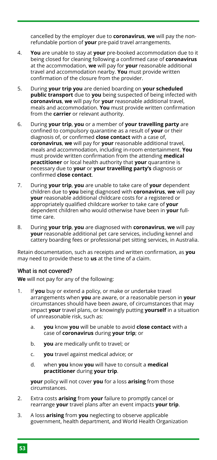cancelled by the employer due to **coronavirus**, **we** will pay the nonrefundable portion of **your** pre-paid travel arrangements.

- **You** are unable to stay at **your** pre-booked accommodation due to it being closed for cleaning following a confirmed case of **coronavirus** at the accommodation, **we** will pay for **your** reasonable additional travel and accommodation nearby. **You** must provide written confirmation of the closure from the provider. 4.
- During **your trip you** are denied boarding on **your scheduled public transport** due to **you** being suspected of being infected with **coronavirus**, **we** will pay for **your** reasonable additional travel, meals and accommodation. **You** must provide written confirmation from the **carrier** or relevant authority. 5.
- During **your trip**, **you** or a member of **your travelling party** are confined to compulsory quarantine as a result of **your** or their diagnosis of, or confirmed **close contact** with a case of, **coronavirus**, **we** will pay for **your** reasonable additional travel, meals and accommodation, including in-room entertainment. **You** must provide written confirmation from the attending **medical practitioner** or local health authority that **your** quarantine is necessary due to **your** or **your travelling party's** diagnosis or confirmed **close contact**. 6.
- During **your trip**, **you** are unable to take care of **your** dependent children due to **you** being diagnosed with **coronavirus**, **we** will pay **your** reasonable additional childcare costs for a registered or appropriately qualified childcare worker to take care of **your** dependent children who would otherwise have been in **your** fulltime care. 7.
- During **your trip**, **you** are diagnosed with **coronavirus**, **we** will pay **your** reasonable additional pet care services, including kennel and cattery boarding fees or professional pet sitting services, in Australia. 8.

Retain documentation, such as receipts and written confirmation, as **you** may need to provide these to **us** at the time of a claim.

#### What is not covered?

**We** will not pay for any of the following:

- If **you** buy or extend a policy, or make or undertake travel arrangements when **you** are aware, or a reasonable person in **your** circumstances should have been aware, of circumstances that may impact **your** travel plans, or knowingly putting **yourself** in a situation of unreasonable risk, such as: 1.
	- **you** know **you** will be unable to avoid **close contact** with a case of **coronavirus** during **your trip**; or a.
	- **you** are medically unfit to travel; or b.
	- **you** travel against medical advice; or c.
	- when **you** know **you** will have to consult a **medical practitioner** during **your trip**. d.

**your** policy will not cover **you** for a loss **arising** from those circumstances.

- Extra costs **arising** from **your** failure to promptly cancel or rearrange **your** travel plans after an event impacts **your trip**. 2.
- A loss **arising** from **you** neglecting to observe applicable government, health department, and World Health Organization 3.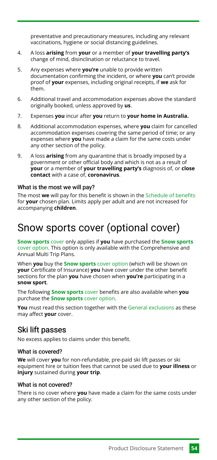preventative and precautionary measures, including any relevant vaccinations, hygiene or social distancing guidelines.

- A loss **arising** from **your** or a member of **your travelling party's** change of mind, disinclination or reluctance to travel. 4.
- Any expenses where **you're** unable to provide written documentation confirming the incident, or where **you** can't provide proof of **your** expenses, including original receipts, if **we** ask for them. 5.
- Additional travel and accommodation expenses above the standard originally booked, unless approved by **us**. 6.
- Expenses **you** incur after **you** return to **your home in Australia.** 7.
- Additional accommodation expenses, where **you** claim for cancelled accommodation expenses covering the same period of time; or any expenses where **you** have made a claim for the same costs under any other section of the policy. 8.
- A loss **arising** from any quarantine that is broadly imposed by a government or other official body and which is not as a result of **your** or a member of **your travelling party's** diagnosis of, or **close contact** with a case of, **coronavirus**. 9.

#### What is the most we will pay?

The most **we** will pay for this benefit is shown in the [Schedule of benefits](#page-15-0) for **your** chosen plan. Limits apply per adult and are not increased for accompanying **children**.

# <span id="page-54-0"></span>Snow sports cover (optional cover)

**[Snow sports](#page-54-0)** cover only applies if **you** have purchased the **[Snow sports](#page-5-0)** [cover option](#page-5-0). This option is only available with the Comprehensive and Annual Multi Trip Plans.

When **you** buy the **[Snow sports](#page-54-0)** cover option (which will be shown on **your** Certificate of Insurance) **you** have cover under the other benefit sections for the plan **you** have chosen when **you're** participating in a **snow sport**.

The following **[Snow sports](#page-54-0)** cover benefits are also available when **you** purchase the **[Snow sports](#page-5-0)** cover option.

**You** must read this section together with the [General exclusions](#page-55-0) as these may affect **your** cover.

### Ski lift passes

No excess applies to claims under this benefit.

#### What is covered?

**We** will cover **you** for non-refundable, pre-paid ski lift passes or ski equipment hire or tuition fees that cannot be used due to **your illness** or **injury** sustained during **your trip**.

#### What is not covered?

There is no cover where **you** have made a claim for the same costs under any other section of the policy.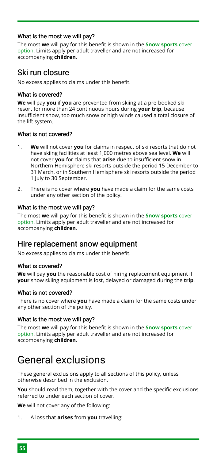#### What is the most we will pay?

The most **we** will pay for this benefit is shown in the **[Snow sports](#page-5-0)** cover [option](#page-5-0). Limits apply per adult traveller and are not increased for accompanying **children**.

# Ski run closure

No excess applies to claims under this benefit.

#### What is covered?

**We** will pay **you** if **you** are prevented from skiing at a pre-booked ski resort for more than 24 continuous hours during **your trip**, because insufficient snow, too much snow or high winds caused a total closure of the lift system.

#### What is not covered?

- **We** will not cover **you** for claims in respect of ski resorts that do not have skiing facilities at least 1,000 metres above sea level. **We** will not cover **you** for claims that **arise** due to insufficient snow in Northern Hemisphere ski resorts outside the period 15 December to 31 March, or in Southern Hemisphere ski resorts outside the period 1 July to 30 September. 1.
- There is no cover where **you** have made a claim for the same costs under any other section of the policy.  $\mathcal{L}$

#### What is the most we will pay?

The most **we** will pay for this benefit is shown in the **[Snow sports](#page-5-0)** cover [option](#page-5-0). Limits apply per adult traveller and are not increased for accompanying **children**.

### Hire replacement snow equipment

No excess applies to claims under this benefit.

#### What is covered?

**We** will pay **you** the reasonable cost of hiring replacement equipment if **your** snow skiing equipment is lost, delayed or damaged during the **trip**.

#### What is not covered?

There is no cover where **you** have made a claim for the same costs under any other section of the policy.

#### What is the most we will pay?

The most **we** will pay for this benefit is shown in the **[Snow sports](#page-5-0)** cover [option](#page-5-0). Limits apply per adult traveller and are not increased for accompanying **children**.

# <span id="page-55-0"></span>General exclusions

These general exclusions apply to all sections of this policy, unless otherwise described in the exclusion.

**You** should read them, together with the cover and the specific exclusions referred to under each section of cover.

**We** will not cover any of the following:

A loss that **arises** from **you** travelling: 1.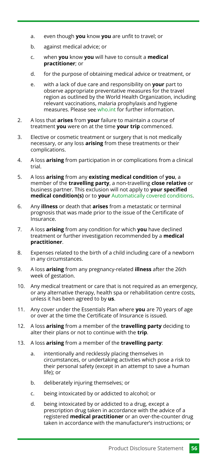- even though **you** know **you** are unfit to travel; or a.
- against medical advice; or b.
- when **you** know **you** will have to consult a **medical practitioner**; or c.
- for the purpose of obtaining medical advice or treatment, or d.
- with a lack of due care and responsibility on **your** part to observe appropriate preventative measures for the travel region as outlined by the World Health Organization, including relevant vaccinations, malaria prophylaxis and hygiene measures. Please see [who.int](http://www.who.int/) for further information. e.
- A loss that **arises** from **your** failure to maintain a course of treatment **you** were on at the time **your trip** commenced. 2.
- Elective or cosmetic treatment or surgery that is not medically necessary, or any loss **arising** from these treatments or their complications. 3.
- A loss **arising** from participation in or complications from a clinical trial. 4.
- A loss **arising** from any **existing medical condition** of **you**, a member of the **travelling party**, a non-travelling **close relative** or business partner. This exclusion will not apply to **your specified medical condition(s)** or to **your** [Automatically covered conditions](#page-28-0). 5.
- Any **illness** or death that **arises** from a metastatic or terminal prognosis that was made prior to the issue of the Certificate of Insurance. 6.
- A loss **arising** from any condition for which **you** have declined treatment or further investigation recommended by a **medical practitioner**. 7.
- Expenses related to the birth of a child including care of a newborn in any circumstances. 8.
- A loss **arising** from any pregnancy-related **illness** after the 26th week of gestation. 9.
- Any medical treatment or care that is not required as an emergency, or any alternative therapy, health spa or rehabilitation centre costs, unless it has been agreed to by **us**. 10.
- Any cover under the Essentials Plan where **you** are 70 years of age or over at the time the Certificate of Insurance is issued. 11.
- A loss **arising** from a member of the **travelling party** deciding to alter their plans or not to continue with the **trip**. 12.
- A loss **arising** from a member of the **travelling party**: 13.
	- intentionally and recklessly placing themselves in circumstances, or undertaking activities which pose a risk to their personal safety (except in an attempt to save a human life); or a.
	- deliberately injuring themselves; or b.
	- being intoxicated by or addicted to alcohol; or c.
	- being intoxicated by or addicted to a drug, except a prescription drug taken in accordance with the advice of a registered **medical practitioner** or an over-the-counter drug taken in accordance with the manufacturer's instructions; or d.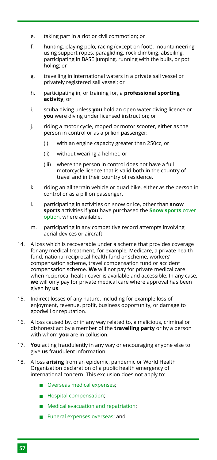- taking part in a riot or civil commotion; or e.
- hunting, playing polo, racing (except on foot), mountaineering using support ropes, paragliding, rock climbing, abseiling, participating in BASE jumping, running with the bulls, or pot holing; or f.
- travelling in international waters in a private sail vessel or privately registered sail vessel; or g.
- participating in, or training for, a **professional sporting activity**; or h.
- scuba diving unless **you** hold an open water diving licence or **you** were diving under licensed instruction; or i.
- riding a motor cycle, moped or motor scooter, either as the person in control or as a pillion passenger: j.
	- with an engine capacity greater than 250cc, or (i)
	- without wearing a helmet, or (ii)
	- where the person in control does not have a full motorcycle licence that is valid both in the country of travel and in their country of residence. (iii)
- riding an all terrain vehicle or quad bike, either as the person in control or as a pillion passenger. k.
- participating in activities on snow or ice, other than **snow sports** activities if **you** have purchased the **[Snow sports](#page-5-0)** cover [option](#page-5-0), where available. l.
- participating in any competitive record attempts involving aerial devices or aircraft. m.
- A loss which is recoverable under a scheme that provides coverage 14. for any medical treatment; for example, Medicare, a private health fund, national reciprocal health fund or scheme, workers' compensation scheme, travel compensation fund or accident compensation scheme. **We** will not pay for private medical care when reciprocal health cover is available and accessible. In any case, **we** will only pay for private medical care where approval has been given by **us**.
- 15. Indirect losses of any nature, including for example loss of enjoyment, revenue, profit, business opportunity, or damage to goodwill or reputation.
- A loss caused by, or in any way related to, a malicious, criminal or dishonest act by a member of the **travelling party** or by a person with whom **you** are in collusion. 16.
- **You** acting fraudulently in any way or encouraging anyone else to give **us** fraudulent information. 17.
- A loss **arising** from an epidemic, pandemic or World Health Organization declaration of a public health emergency of international concern. This exclusion does not apply to: 18.
	- **Overseas medical expenses:**
	- **Hospital compensation:**
	- [Medical evacuation and repatriation;](#page-40-0)
	- **Funeral expenses overseas: and**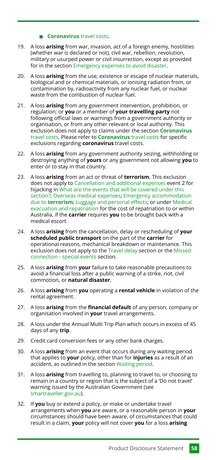#### **[Coronavirus](#page-52-0)** travel costs.

- A loss **arising** from war, invasion, act of a foreign enemy, hostilities (whether war is declared or not), civil war, rebellion, revolution, military or usurped power or civil insurrection, except as provided for in the section [Emergency expenses to avoid disaster.](#page-43-0) 19.
- A loss **arising** from the use, existence or escape of nuclear materials, biological and or chemical materials, or ionising radiation from, or contamination by, radioactivity from any nuclear fuel, or nuclear waste from the combustion of nuclear fuel. 20.
- A loss **arising** from any government intervention, prohibition, or regulation; or **you** or a member of **your travelling party** not following official laws or warnings from a government authority or organisation, or from any other relevant or local authority. This exclusion does not apply to claims under the section **[Coronavirus](#page-52-0)** [travel costs.](#page-52-0) Please refer to **[Coronavirus](#page-52-0)** travel costs for specific exclusions regarding **coronavirus** travel costs. 21.
- A loss **arising** from any government authority seizing, withholding or destroying anything of **yours** or any government not allowing **you** to enter or to stay in that country. 22.
- A loss **arising** from an act or threat of **terrorism**. This exclusion 23. does not apply to [Cancellation and additional expenses](#page-33-1) event 2 for hijacking in [What are the events that will be covered under this](#page-33-2) [section?](#page-33-2); [Overseas medical expenses](#page-37-2); [Emergency accommodation](#page-42-1) due to **[terrorism](#page-42-1)**; [Luggage and personal effects;](#page-45-1) or under [Medical](#page-40-0) [evacuation and repatriation](#page-40-0) for the cost of repatriation to or within Australia, if the **carrier** requires **you** to be brought back with a medical escort.
- A loss **arising** from the cancellation, delay or rescheduling of **your scheduled public transport** on the part of the **carrier** for operational reasons, mechanical breakdown or maintenance. This exclusion does not apply to the [Travel delay](#page-41-1) section or the [Missed](#page-41-2) [connection - special events](#page-41-2) section. 24.
- A loss **arising** from **your** failure to take reasonable precautions to avoid a financial loss after a public warning of a strike, riot, civil commotion, or **natural disaster**. 25.
- A loss **arising** from **you** operating a **rental vehicle** in violation of the rental agreement. 26.
- A loss **arising** from the **financial default** of any person, company or organisation involved in **your** travel arrangements. 27.
- A loss under the Annual Multi Trip Plan which occurs in excess of 45 days of any **trip**. 28.
- 29. Credit card conversion fees or any other bank charges.
- A loss **arising** from an event that occurs during any waiting period that applies to **your** policy, other than for **injuries** as a result of an accident, as outlined in the section [Waiting period](#page-14-0). 30.
- A loss **arising** from travelling to, planning to travel to, or choosing to remain in a country or region that is the subject of a 'Do not travel' warning issued by the Australian Government (see [smartraveller.gov.au\)](https://www.smartraveller.gov.au/). 31.
- If **you** buy or extend a policy, or make or undertake travel arrangements when **you** are aware, or a reasonable person in **your** circumstances should have been aware, of circumstances that could result in a claim, **your** policy will not cover **you** for a loss **arising** 32.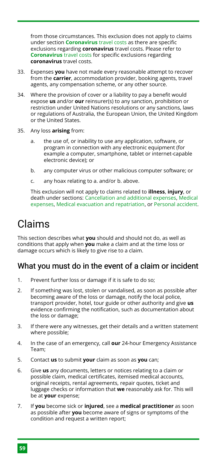from those circumstances. This exclusion does not apply to claims under section **[Coronavirus](#page-52-0)** travel costs as there are specific exclusions regarding **coronavirus** travel costs. Please refer to **[Coronavirus](#page-52-0)** travel costs for specific exclusions regarding **coronavirus** travel costs.

- Expenses **you** have not made every reasonable attempt to recover from the **carrier**, accommodation provider, booking agents, travel agents, any compensation scheme, or any other source. 33.
- Where the provision of cover or a liability to pay a benefit would expose **us** and/or **our** reinsurer(s) to any sanction, prohibition or restriction under United Nations resolutions or any sanctions, laws or regulations of Australia, the European Union, the United Kingdom or the United States. 34.
- Any loss **arising** from: 35.
	- the use of, or inability to use any application, software, or program in connection with any electronic equipment (for example a computer, smartphone, tablet or internet-capable electronic device); or a.
	- any computer virus or other malicious computer software; or b.
	- any hoax relating to a. and/or b. above. c.

This exclusion will not apply to claims related to **illness**, **injury**, or death under sections: [Cancellation and additional expenses](#page-33-1), [Medical](#page-37-0) [expenses,](#page-37-0) [Medical evacuation and repatriation](#page-40-0), or [Personal accident](#page-49-0).

# <span id="page-59-0"></span>Claims

This section describes what **you** should and should not do, as well as conditions that apply when **you** make a claim and at the time loss or damage occurs which is likely to give rise to a claim.

# What you must do in the event of a claim or incident

- Prevent further loss or damage if it is safe to do so; 1.
- If something was lost, stolen or vandalised, as soon as possible after becoming aware of the loss or damage, notify the local police, transport provider, hotel, tour guide or other authority and give **us** evidence confirming the notification, such as documentation about the loss or damage;  $\mathcal{L}$
- If there were any witnesses, get their details and a written statement where possible; 3.
- In the case of an emergency, call **our** 24-hour Emergency Assistance Team; 4.
- Contact **us** to submit **your** claim as soon as **you** can; 5.
- Give **us** any documents, letters or notices relating to a claim or possible claim, medical certificates, itemised medical accounts, original receipts, rental agreements, repair quotes, ticket and luggage checks or information that **we** reasonably ask for. This will be at **your** expense; 6.
- If **you** become sick or **injured**, see a **medical practitioner** as soon as possible after **you** become aware of signs or symptoms of the condition and request a written report; 7.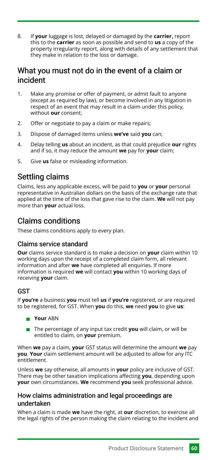If **your** luggage is lost, delayed or damaged by the **carrier,** report this to the **carrier** as soon as possible and send to **us** a copy of the property irregularity report, along with details of any settlement that they make in relation to the loss or damage. 8.

### What you must not do in the event of a claim or incident

- Make any promise or offer of payment, or admit fault to anyone (except as required by law), or become involved in any litigation in respect of an event that may result in a claim under this policy, without **our** consent; 1.
- Offer or negotiate to pay a claim or make repairs;  $\mathcal{L}$
- Dispose of damaged items unless **we've** said **you** can; 3.
- Delay telling **us** about an incident, as that could prejudice **our** rights and if so, it may reduce the amount **we** pay for **your** claim; 4.
- Give **us** false or misleading information. 5.

# Settling claims

Claims, less any applicable excess, will be paid to **you** or **your** personal representative in Australian dollars on the basis of the exchange rate that applied at the time of the loss that gave rise to the claim. **We** will not pay more than **your** actual loss.

# Claims conditions

These claims conditions apply to every plan.

#### Claims service standard

**Our** claims service standard is to make a decision on **your** claim within 10 working days upon the receipt of a completed claim form, all relevant information and after **we** have completed all enquiries. If more information is required **we** will contact **you** within 10 working days of receiving **your** claim.

#### GST

If **you're** a business **you** must tell **us** if **you're** registered, or are required to be registered, for GST. When **you** do this, **we** need **you** to give **us**:

- **Your** ABN
- The percentage of any input tax credit **you** will claim, or will be entitled to claim, on **your** premium.

When **we** pay a claim, **your** GST status will determine the amount **we** pay **you**. **Your** claim settlement amount will be adjusted to allow for any ITC entitlement.

Unless **we** say otherwise, all amounts in **your** policy are inclusive of GST. There may be other taxation implications affecting **you**, depending upon **your** own circumstances. **We** recommend **you** seek professional advice.

#### How claims administration and legal proceedings are undertaken

When a claim is made **we** have the right, at **our** discretion, to exercise all the legal rights of the person making the claim relating to the incident and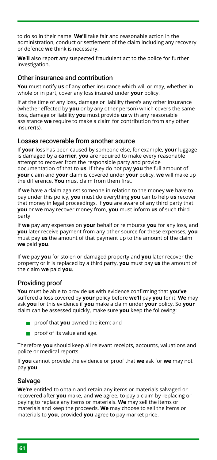to do so in their name. **We'll** take fair and reasonable action in the administration, conduct or settlement of the claim including any recovery or defence **we** think is necessary.

**We**'**ll** also report any suspected fraudulent act to the police for further investigation.

#### Other insurance and contribution

**You** must notify **us** of any other insurance which will or may, whether in whole or in part, cover any loss insured under **your** policy.

If at the time of any loss, damage or liability there's any other insurance (whether effected by **you** or by any other person) which covers the same loss, damage or liability **you** must provide **us** with any reasonable assistance **we** require to make a claim for contribution from any other insurer(s).

#### Losses recoverable from another source

If **your** loss has been caused by someone else, for example, **your** luggage is damaged by a **carrier**, **you** are required to make every reasonable attempt to recover from the responsible party and provide documentation of that to **us**. If they do not pay **you** the full amount of **your** claim and **your** claim is covered under **your** policy, **we** will make up the difference. **You** must claim from them first.

If **we** have a claim against someone in relation to the money **we** have to pay under this policy, **you** must do everything **you** can to help **us** recover that money in legal proceedings. If **you** are aware of any third party that **you** or **we** may recover money from, **you** must inform **us** of such third party.

If **we** pay any expenses on **your** behalf or reimburse **you** for any loss, and **you** later receive payment from any other source for these expenses, **you** must pay **us** the amount of that payment up to the amount of the claim **we** paid **you**.

If **we** pay **you** for stolen or damaged property and **you** later recover the property or it is replaced by a third party, **you** must pay **us** the amount of the claim **we** paid **you**.

#### Providing proof

**You** must be able to provide **us** with evidence confirming that **you've** suffered a loss covered by **your** policy before **we'll** pay **you** for it. **We** may ask **you** for this evidence if **you** make a claim under **your** policy. So **your** claim can be assessed quickly, make sure **you** keep the following:

- **proof that you** owned the item; and
- $\Box$  proof of its value and age.

Therefore **you** should keep all relevant receipts, accounts, valuations and police or medical reports.

If **you** cannot provide the evidence or proof that **we** ask for **we** may not pay **you**.

#### **Salvage**

**We're** entitled to obtain and retain any items or materials salvaged or recovered after **you** make, and **we** agree, to pay a claim by replacing or paying to replace any items or materials. **We** may sell the items or materials and keep the proceeds. **We** may choose to sell the items or materials to **you**, provided **you** agree to pay market price.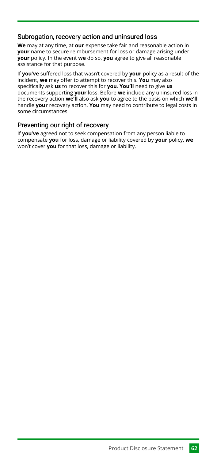#### Subrogation, recovery action and uninsured loss

**We** may at any time, at **our** expense take fair and reasonable action in **your** name to secure reimbursement for loss or damage arising under **your** policy. In the event **we** do so, **you** agree to give all reasonable assistance for that purpose.

If **you've** suffered loss that wasn't covered by **your** policy as a result of the incident, **we** may offer to attempt to recover this. **You** may also specifically ask **us** to recover this for **you**. **You'll** need to give **us** documents supporting **your** loss. Before **we** include any uninsured loss in the recovery action **we'll** also ask **you** to agree to the basis on which **we'll** handle **your** recovery action. **You** may need to contribute to legal costs in some circumstances.

#### Preventing our right of recovery

If **you've** agreed not to seek compensation from any person liable to compensate **you** for loss, damage or liability covered by **your** policy, **we** won't cover **you** for that loss, damage or liability.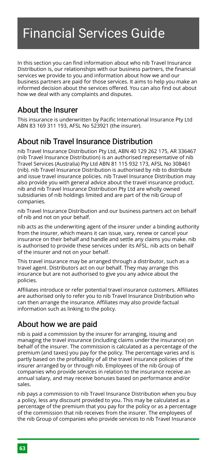# <span id="page-63-0"></span>Financial Services Guide

In this section you can find information about who nib Travel Insurance Distribution is, our relationships with our business partners, the financial services we provide to you and information about how we and our business partners are paid for those services. It aims to help you make an informed decision about the services offered. You can also find out about how we deal with any complaints and disputes.

# <span id="page-63-1"></span>About the Insurer

This insurance is underwritten by Pacific International Insurance Pty Ltd ABN 83 169 311 193, AFSL No 523921 (the insurer).

# <span id="page-63-2"></span>About nib Travel Insurance Distribution

nib Travel Insurance Distribution Pty Ltd, ABN 40 129 262 175, AR 336467 (nib Travel Insurance Distribution) is an authorised representative of nib Travel Services (Australia) Pty Ltd ABN 81 115 932 173, AFSL No 308461 (nib). nib Travel Insurance Distribution is authorised by nib to distribute and issue travel insurance policies. nib Travel Insurance Distribution may also provide you with general advice about the travel insurance product. nib and nib Travel Insurance Distribution Pty Ltd are wholly owned subsidiaries of nib holdings limited and are part of the nib Group of companies.

nib Travel Insurance Distribution and our business partners act on behalf of nib and not on your behalf.

nib acts as the underwriting agent of the insurer under a binding authority from the insurer, which means it can issue, vary, renew or cancel your insurance on their behalf and handle and settle any claims you make. nib is authorised to provide these services under its AFSL. nib acts on behalf of the insurer and not on your behalf.

This travel insurance may be arranged through a distributor, such as a travel agent. Distributors act on our behalf. They may arrange this insurance but are not authorised to give you any advice about the policies.

Affiliates introduce or refer potential travel insurance customers. Affiliates are authorised only to refer you to nib Travel Insurance Distribution who can then arrange the insurance. Affiliates may also provide factual information such as linking to the policy.

# <span id="page-63-3"></span>About how we are paid

nib is paid a commission by the insurer for arranging, issuing and managing the travel insurance (including claims under the insurance) on behalf of the insurer. The commission is calculated as a percentage of the premium (and taxes) you pay for the policy. The percentage varies and is partly based on the profitability of all the travel insurance policies of the insurer arranged by or through nib. Employees of the nib Group of companies who provide services in relation to the insurance receive an annual salary, and may receive bonuses based on performance and/or sales.

nib pays a commission to nib Travel Insurance Distribution when you buy a policy, less any discount provided to you. This may be calculated as a percentage of the premium that you pay for the policy or as a percentage of the commission that nib receives from the insurer. The employees of the nib Group of companies who provide services to nib Travel Insurance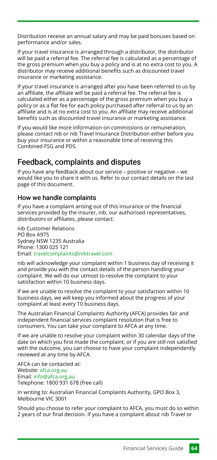Distribution receive an annual salary and may be paid bonuses based on performance and/or sales.

If your travel insurance is arranged through a distributor, the distributor will be paid a referral fee. The referral fee is calculated as a percentage of the gross premium when you buy a policy and is at no extra cost to you. A distributor may receive additional benefits such as discounted travel insurance or marketing assistance.

If your travel insurance is arranged after you have been referred to us by an affiliate, the affiliate will be paid a referral fee. The referral fee is calculated either as a percentage of the gross premium when you buy a policy or as a flat fee for each policy purchased after referral to us by an affiliate and is at no extra cost to you. An affiliate may receive additional benefits such as discounted travel insurance or marketing assistance.

If you would like more information on commissions or remuneration, please contact nib or nib Travel Insurance Distribution either before you buy your insurance or within a reasonable time of receiving this Combined FSG and PDS.

# <span id="page-64-0"></span>Feedback, complaints and disputes

If you have any feedback about our service – positive or negative – we would like you to share it with us. Refer to our contact details on the last page of this document.

#### How we handle complaints

If you have a complaint arising out of this insurance or the financial services provided by the insurer, nib, our authorised representatives, distributors or affiliates, please contact:

nib Customer Relations PO Box A975 Sydney NSW 1235 Australia Phone: 1300 025 121 Email: [travelcomplaints@nibtravel.com](mailto:travelcomplaints@nibtravel.com)

nib will acknowledge your complaint within 1 business day of receiving it and provide you with the contact details of the person handling your complaint. We will do our utmost to resolve the complaint to your satisfaction within 10 business days.

If we are unable to resolve the complaint to your satisfaction within 10 business days, we will keep you informed about the progress of your complaint at least every 10 business days.

The Australian Financial Complaints Authority (AFCA) provides fair and independent financial services complaint resolution that is free to consumers. You can take your complaint to AFCA at any time.

If we are unable to resolve your complaint within 30 calendar days of the date on which you first made the complaint, or if you are still not satisfied with the outcome, you can choose to have your complaint independently reviewed at any time by AFCA.

AFCA can be contacted at: Website: [afca.org.au](http://www.afca.org.au/) Email: [info@afca.org.au](mailto:info@afca.org.au) Telephone: 1800 931 678 (free call)

In writing to: Australian Financial Complaints Authority, GPO Box 3, Melbourne VIC 3001

Should you choose to refer your complaint to AFCA, you must do so within 2 years of our final decision. If you have a complaint about nib Travel or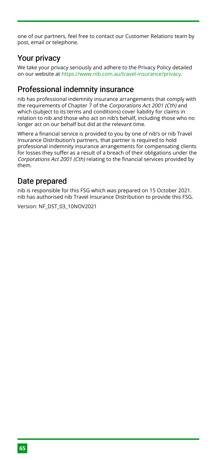one of our partners, feel free to contact our Customer Relations team by post, email or telephone.

# <span id="page-65-0"></span>Your privacy

We take your privacy seriously and adhere to the Privacy Policy detailed on our website at <https://www.nib.com.au/travel-insurance/privacy>.

# <span id="page-65-1"></span>Professional indemnity insurance

nib has professional indemnity insurance arrangements that comply with the requirements of Chapter 7 of the Corporations Act 2001 (Cth) and which (subject to its terms and conditions) cover liability for claims in relation to nib and those who act on nib's behalf, including those who no longer act on our behalf but did at the relevant time.

Where a financial service is provided to you by one of nib's or nib Travel Insurance Distribution's partners, that partner is required to hold professional indemnity insurance arrangements for compensating clients for losses they suffer as a result of a breach of their obligations under the Corporations Act 2001 (Cth) relating to the financial services provided by them.

# <span id="page-65-2"></span>Date prepared

nib is responsible for this FSG which was prepared on 15 October 2021. nib has authorised nib Travel Insurance Distribution to provide this FSG.

Version: NF\_DST\_03\_10NOV2021